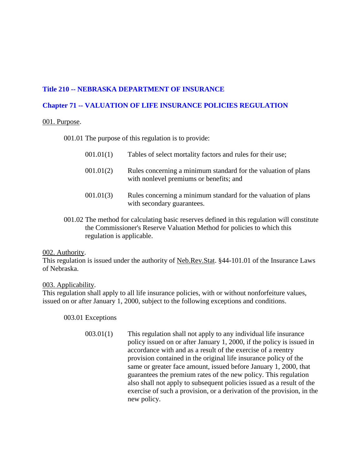# **Title 210 -- NEBRASKA DEPARTMENT OF INSURANCE**

## **Chapter 71 -- VALUATION OF LIFE INSURANCE POLICIES REGULATION**

## 001. Purpose.

001.01 The purpose of this regulation is to provide:

| 001.01(1) | Tables of select mortality factors and rules for their use;                                               |
|-----------|-----------------------------------------------------------------------------------------------------------|
| 001.01(2) | Rules concerning a minimum standard for the valuation of plans<br>with nonlevel premiums or benefits; and |
| 001.01(3) | Rules concerning a minimum standard for the valuation of plans<br>with secondary guarantees.              |

001.02 The method for calculating basic reserves defined in this regulation will constitute the Commissioner's Reserve Valuation Method for policies to which this regulation is applicable.

## 002. Authority.

This regulation is issued under the authority of Neb.Rev.Stat. §44-101.01 of the Insurance Laws of Nebraska.

## 003. Applicability.

This regulation shall apply to all life insurance policies, with or without nonforfeiture values, issued on or after January 1, 2000, subject to the following exceptions and conditions.

003.01 Exceptions

003.01(1) This regulation shall not apply to any individual life insurance policy issued on or after January 1, 2000, if the policy is issued in accordance with and as a result of the exercise of a reentry provision contained in the original life insurance policy of the same or greater face amount, issued before January 1, 2000, that guarantees the premium rates of the new policy. This regulation also shall not apply to subsequent policies issued as a result of the exercise of such a provision, or a derivation of the provision, in the new policy.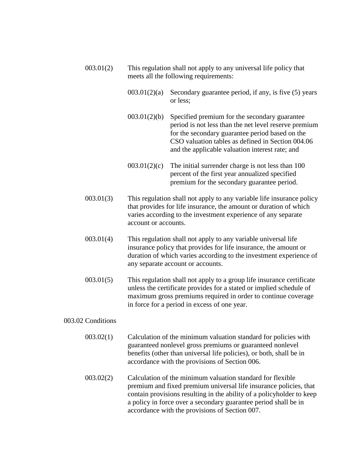| 003.01(2)         |              | This regulation shall not apply to any universal life policy that<br>meets all the following requirements:                                                                                                                                                                                            |  |  |  |  |  |  |  |  |  |  |
|-------------------|--------------|-------------------------------------------------------------------------------------------------------------------------------------------------------------------------------------------------------------------------------------------------------------------------------------------------------|--|--|--|--|--|--|--|--|--|--|
|                   | 003.01(2)(a) | Secondary guarantee period, if any, is five (5) years<br>or less;                                                                                                                                                                                                                                     |  |  |  |  |  |  |  |  |  |  |
|                   | 003.01(2)(b) | Specified premium for the secondary guarantee<br>period is not less than the net level reserve premium<br>for the secondary guarantee period based on the<br>CSO valuation tables as defined in Section 004.06<br>and the applicable valuation interest rate; and                                     |  |  |  |  |  |  |  |  |  |  |
|                   | 003.01(2)(c) | The initial surrender charge is not less than 100<br>percent of the first year annualized specified<br>premium for the secondary guarantee period.                                                                                                                                                    |  |  |  |  |  |  |  |  |  |  |
| 003.01(3)         |              | This regulation shall not apply to any variable life insurance policy<br>that provides for life insurance, the amount or duration of which<br>varies according to the investment experience of any separate<br>account or accounts.<br>This regulation shall not apply to any variable universal life |  |  |  |  |  |  |  |  |  |  |
| 003.01(4)         |              | insurance policy that provides for life insurance, the amount or<br>duration of which varies according to the investment experience of<br>any separate account or accounts.                                                                                                                           |  |  |  |  |  |  |  |  |  |  |
| 003.01(5)         |              | This regulation shall not apply to a group life insurance certificate<br>unless the certificate provides for a stated or implied schedule of<br>maximum gross premiums required in order to continue coverage<br>in force for a period in excess of one year.                                         |  |  |  |  |  |  |  |  |  |  |
| 003.02 Conditions |              |                                                                                                                                                                                                                                                                                                       |  |  |  |  |  |  |  |  |  |  |
| 003.02(1)         |              | Calculation of the minimum valuation standard for policies with<br>guaranteed nonlevel gross premiums or guaranteed nonlevel<br>benefits (other than universal life policies), or both, shall be in<br>accordance with the provisions of Section 006.                                                 |  |  |  |  |  |  |  |  |  |  |
| 003.02(2)         |              | Calculation of the minimum valuation standard for flexible                                                                                                                                                                                                                                            |  |  |  |  |  |  |  |  |  |  |

premium and fixed premium universal life insurance policies, that contain provisions resulting in the ability of a policyholder to keep a policy in force over a secondary guarantee period shall be in accordance with the provisions of Section 007.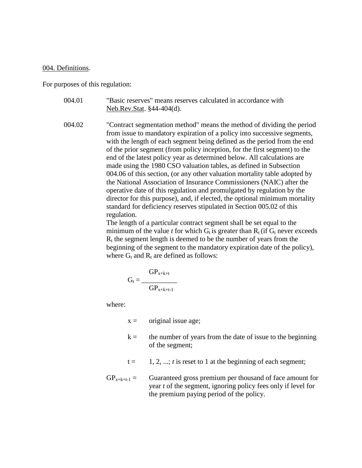#### 004. Definitions.

For purposes of this regulation:

- 004.01 "Basic reserves" means reserves calculated in accordance with Neb.Rev.Stat. §44-404(d).
- 004.02 "Contract segmentation method" means the method of dividing the period from issue to mandatory expiration of a policy into successive segments, with the length of each segment being defined as the period from the end of the prior segment (from policy inception, for the first segment) to the end of the latest policy year as determined below. All calculations are made using the 1980 CSO valuation tables, as defined in Subsection 004.06 of this section, (or any other valuation mortality table adopted by the National Association of Insurance Commissioners (NAIC) after the operative date of this regulation and promulgated by regulation by the director for this purpose), and, if elected, the optional minimum mortality standard for deficiency reserves stipulated in Section 005.02 of this regulation.

The length of a particular contract segment shall be set equal to the minimum of the value *t* for which  $G_t$  is greater than  $R_t$  (if  $G_t$  never exceeds  $R<sub>t</sub>$  the segment length is deemed to be the number of years from the beginning of the segment to the mandatory expiration date of the policy), where  $G_t$  and  $R_t$  are defined as follows:

$$
G_t = \frac{GP_{x+k+t}}{GP_{x+k+t-1}}
$$

where:

- $x =$  original issue age;
- $k =$  the number of years from the date of issue to the beginning of the segment;
- $t = 1, 2, \ldots$ ; *t* is reset to 1 at the beginning of each segment;
- $GP_{x+k+t-1}$  = Guaranteed gross premium per thousand of face amount for year *t* of the segment, ignoring policy fees only if level for the premium paying period of the policy.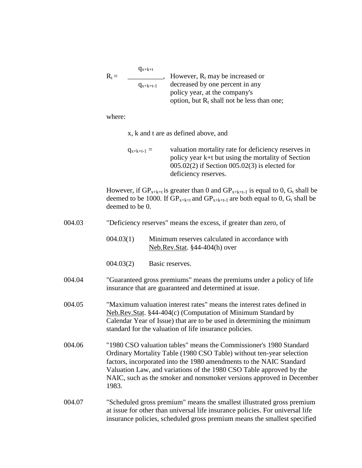|        | $R_t =$         | $q_{x+k+t}$     | However, $R_t$ may be increased or                                                                                                                                                                                                                                                                                                                               |
|--------|-----------------|-----------------|------------------------------------------------------------------------------------------------------------------------------------------------------------------------------------------------------------------------------------------------------------------------------------------------------------------------------------------------------------------|
|        |                 | $q_{x+k+t-1}$   | decreased by one percent in any<br>policy year, at the company's<br>option, but $R_t$ shall not be less than one;                                                                                                                                                                                                                                                |
|        | where:          |                 |                                                                                                                                                                                                                                                                                                                                                                  |
|        |                 |                 | x, k and t are as defined above, and                                                                                                                                                                                                                                                                                                                             |
|        |                 | $q_{x+k+t-1} =$ | valuation mortality rate for deficiency reserves in<br>policy year k+t but using the mortality of Section<br>$005.02(2)$ if Section $005.02(3)$ is elected for<br>deficiency reserves.                                                                                                                                                                           |
|        | deemed to be 0. |                 | However, if $GP_{x+k+t}$ is greater than 0 and $GP_{x+k+t-1}$ is equal to 0, $G_t$ shall be<br>deemed to be 1000. If $GP_{x+k+t}$ and $GP_{x+k+t-1}$ are both equal to 0, $G_t$ shall be                                                                                                                                                                         |
| 004.03 |                 |                 | "Deficiency reserves" means the excess, if greater than zero, of                                                                                                                                                                                                                                                                                                 |
|        | 004.03(1)       |                 | Minimum reserves calculated in accordance with<br>Neb.Rev.Stat. §44-404(h) over                                                                                                                                                                                                                                                                                  |
|        | 004.03(2)       |                 | Basic reserves.                                                                                                                                                                                                                                                                                                                                                  |
| 004.04 |                 |                 | "Guaranteed gross premiums" means the premiums under a policy of life<br>insurance that are guaranteed and determined at issue.                                                                                                                                                                                                                                  |
| 004.05 |                 |                 | "Maximum valuation interest rates" means the interest rates defined in<br>Neb.Rev.Stat. §44-404(c) (Computation of Minimum Standard by<br>Calendar Year of Issue) that are to be used in determining the minimum<br>standard for the valuation of life insurance policies.                                                                                       |
| 004.06 | 1983.           |                 | "1980 CSO valuation tables" means the Commissioner's 1980 Standard<br>Ordinary Mortality Table (1980 CSO Table) without ten-year selection<br>factors, incorporated into the 1980 amendments to the NAIC Standard<br>Valuation Law, and variations of the 1980 CSO Table approved by the<br>NAIC, such as the smoker and nonsmoker versions approved in December |
| 004.07 |                 |                 | "Scheduled gross premium" means the smallest illustrated gross premium<br>at issue for other than universal life insurance policies. For universal life                                                                                                                                                                                                          |

insurance policies, scheduled gross premium means the smallest specified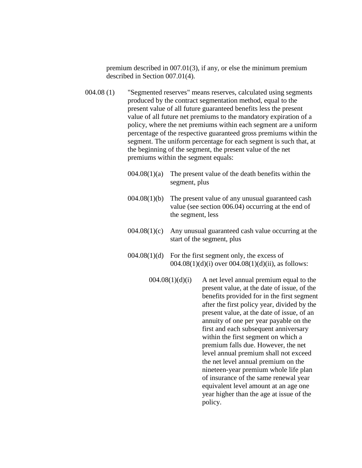premium described in 007.01(3), if any, or else the minimum premium described in Section 007.01(4).

- 004.08 (1) "Segmented reserves" means reserves, calculated using segments produced by the contract segmentation method, equal to the present value of all future guaranteed benefits less the present value of all future net premiums to the mandatory expiration of a policy, where the net premiums within each segment are a uniform percentage of the respective guaranteed gross premiums within the segment. The uniform percentage for each segment is such that, at the beginning of the segment, the present value of the net premiums within the segment equals:
	- $004.08(1)(a)$  The present value of the death benefits within the segment, plus
	- 004.08(1)(b) The present value of any unusual guaranteed cash value (see section 006.04) occurring at the end of the segment, less
	- 004.08(1)(c) Any unusual guaranteed cash value occurring at the start of the segment, plus
	- $004.08(1)(d)$  For the first segment only, the excess of  $004.08(1)(d)(i)$  over  $004.08(1)(d)(ii)$ , as follows:
		- $004.08(1)(d)(i)$  A net level annual premium equal to the present value, at the date of issue, of the benefits provided for in the first segment after the first policy year, divided by the present value, at the date of issue, of an annuity of one per year payable on the first and each subsequent anniversary within the first segment on which a premium falls due. However, the net level annual premium shall not exceed the net level annual premium on the nineteen-year premium whole life plan of insurance of the same renewal year equivalent level amount at an age one year higher than the age at issue of the policy.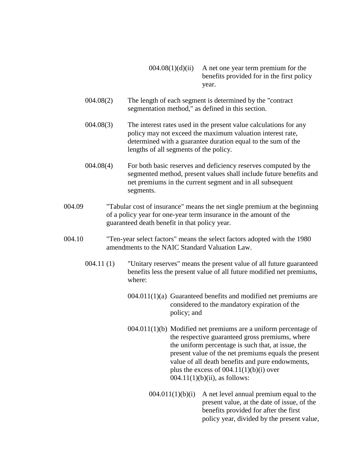- $004.08(1)(d)(ii)$  A net one year term premium for the benefits provided for in the first policy year.
- 004.08(2) The length of each segment is determined by the "contract segmentation method," as defined in this section.
- 004.08(3) The interest rates used in the present value calculations for any policy may not exceed the maximum valuation interest rate, determined with a guarantee duration equal to the sum of the lengths of all segments of the policy.
- 004.08(4) For both basic reserves and deficiency reserves computed by the segmented method, present values shall include future benefits and net premiums in the current segment and in all subsequent segments.
- 004.09 "Tabular cost of insurance" means the net single premium at the beginning of a policy year for one-year term insurance in the amount of the guaranteed death benefit in that policy year.
- 004.10 "Ten-year select factors" means the select factors adopted with the 1980 amendments to the NAIC Standard Valuation Law.
	- 004.11 (1) "Unitary reserves" means the present value of all future guaranteed benefits less the present value of all future modified net premiums, where:
		- 004.011(1)(a) Guaranteed benefits and modified net premiums are considered to the mandatory expiration of the policy; and
		- 004.011(1)(b) Modified net premiums are a uniform percentage of the respective guaranteed gross premiums, where the uniform percentage is such that, at issue, the present value of the net premiums equals the present value of all death benefits and pure endowments, plus the excess of  $004.11(1)(b)(i)$  over  $004.11(1)(b)(ii)$ , as follows:
			- $004.011(1)(b)(i)$  A net level annual premium equal to the present value, at the date of issue, of the benefits provided for after the first policy year, divided by the present value,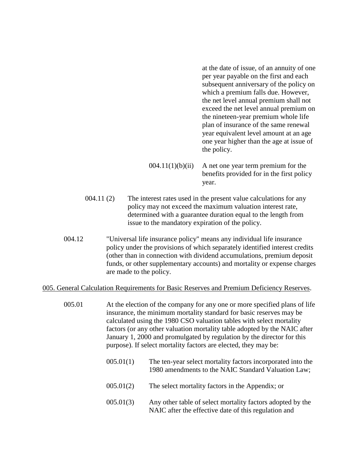at the date of issue, of an annuity of one per year payable on the first and each subsequent anniversary of the policy on which a premium falls due. However, the net level annual premium shall not exceed the net level annual premium on the nineteen-year premium whole life plan of insurance of the same renewal year equivalent level amount at an age one year higher than the age at issue of the policy.

 $004.11(1)(b)(ii)$  A net one year term premium for the benefits provided for in the first policy year.

- 004.11 (2) The interest rates used in the present value calculations for any policy may not exceed the maximum valuation interest rate, determined with a guarantee duration equal to the length from issue to the mandatory expiration of the policy.
- 004.12 "Universal life insurance policy" means any individual life insurance policy under the provisions of which separately identified interest credits (other than in connection with dividend accumulations, premium deposit funds, or other supplementary accounts) and mortality or expense charges are made to the policy.

#### 005. General Calculation Requirements for Basic Reserves and Premium Deficiency Reserves.

- 005.01 At the election of the company for any one or more specified plans of life insurance, the minimum mortality standard for basic reserves may be calculated using the 1980 CSO valuation tables with select mortality factors (or any other valuation mortality table adopted by the NAIC after January 1, 2000 and promulgated by regulation by the director for this purpose). If select mortality factors are elected, they may be:
	- 005.01(1) The ten-year select mortality factors incorporated into the 1980 amendments to the NAIC Standard Valuation Law;
	- 005.01(2) The select mortality factors in the Appendix; or
	- 005.01(3) Any other table of select mortality factors adopted by the NAIC after the effective date of this regulation and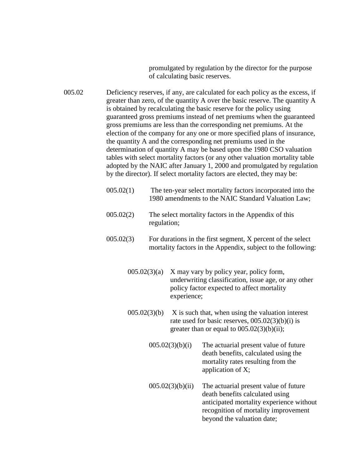promulgated by regulation by the director for the purpose of calculating basic reserves.

005.02 Deficiency reserves, if any, are calculated for each policy as the excess, if greater than zero, of the quantity A over the basic reserve. The quantity A is obtained by recalculating the basic reserve for the policy using guaranteed gross premiums instead of net premiums when the guaranteed gross premiums are less than the corresponding net premiums. At the election of the company for any one or more specified plans of insurance, the quantity A and the corresponding net premiums used in the determination of quantity A may be based upon the 1980 CSO valuation tables with select mortality factors (or any other valuation mortality table adopted by the NAIC after January 1, 2000 and promulgated by regulation by the director). If select mortality factors are elected, they may be:

- 005.02(1) The ten-year select mortality factors incorporated into the 1980 amendments to the NAIC Standard Valuation Law;
- 005.02(2) The select mortality factors in the Appendix of this regulation;
- 005.02(3) For durations in the first segment, X percent of the select mortality factors in the Appendix, subject to the following:
	- $005.02(3)(a)$  X may vary by policy year, policy form, underwriting classification, issue age, or any other policy factor expected to affect mortality experience;
	- $005.02(3)$ (b) X is such that, when using the valuation interest rate used for basic reserves, 005.02(3)(b)(i) is greater than or equal to  $005.02(3)(b)(ii)$ ;
		- $005.02(3)(b)(i)$  The actuarial present value of future death benefits, calculated using the mortality rates resulting from the application of X;
			- $005.02(3)(b)(ii)$  The actuarial present value of future death benefits calculated using anticipated mortality experience without recognition of mortality improvement beyond the valuation date;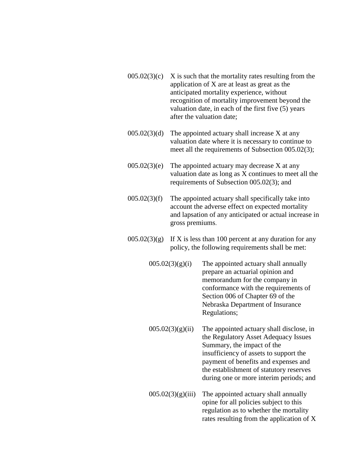- $005.02(3)(c)$  X is such that the mortality rates resulting from the application of X are at least as great as the anticipated mortality experience, without recognition of mortality improvement beyond the valuation date, in each of the first five (5) years after the valuation date;
- $005.02(3)(d)$  The appointed actuary shall increase X at any valuation date where it is necessary to continue to meet all the requirements of Subsection 005.02(3);
- $005.02(3)$ (e) The appointed actuary may decrease X at any valuation date as long as X continues to meet all the requirements of Subsection 005.02(3); and
- $005.02(3)(f)$  The appointed actuary shall specifically take into account the adverse effect on expected mortality and lapsation of any anticipated or actual increase in gross premiums.
- $005.02(3)(g)$  If X is less than 100 percent at any duration for any policy, the following requirements shall be met:
	- $005.02(3)(g)(i)$  The appointed actuary shall annually prepare an actuarial opinion and memorandum for the company in conformance with the requirements of Section 006 of Chapter 69 of the Nebraska Department of Insurance Regulations;
	- $005.02(3)(g)(ii)$  The appointed actuary shall disclose, in the Regulatory Asset Adequacy Issues Summary, the impact of the insufficiency of assets to support the payment of benefits and expenses and the establishment of statutory reserves during one or more interim periods; and
	- $005.02(3)(g)(iii)$  The appointed actuary shall annually opine for all policies subject to this regulation as to whether the mortality rates resulting from the application of X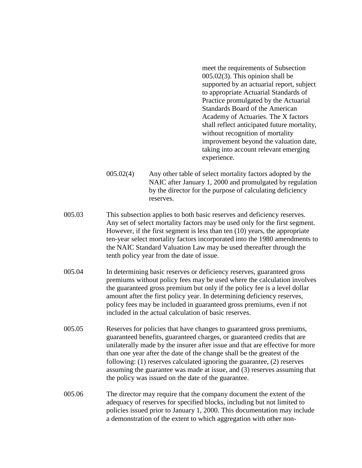meet the requirements of Subsection 005.02(3). This opinion shall be supported by an actuarial report, subject to appropriate Actuarial Standards of Practice promulgated by the Actuarial Standards Board of the American Academy of Actuaries. The X factors shall reflect anticipated future mortality, without recognition of mortality improvement beyond the valuation date, taking into account relevant emerging experience.

- 005.02(4) Any other table of select mortality factors adopted by the NAIC after January 1, 2000 and promulgated by regulation by the director for the purpose of calculating deficiency reserves.
- 005.03 This subsection applies to both basic reserves and deficiency reserves. Any set of select mortality factors may be used only for the first segment. However, if the first segment is less than ten (10) years, the appropriate ten-year select mortality factors incorporated into the 1980 amendments to the NAIC Standard Valuation Law may be used thereafter through the tenth policy year from the date of issue.
- 005.04 In determining basic reserves or deficiency reserves, guaranteed gross premiums without policy fees may be used where the calculation involves the guaranteed gross premium but only if the policy fee is a level dollar amount after the first policy year. In determining deficiency reserves, policy fees may be included in guaranteed gross premiums, even if not included in the actual calculation of basic reserves.
- 005.05 Reserves for policies that have changes to guaranteed gross premiums, guaranteed benefits, guaranteed charges, or guaranteed credits that are unilaterally made by the insurer after issue and that are effective for more than one year after the date of the change shall be the greatest of the following: (1) reserves calculated ignoring the guarantee, (2) reserves assuming the guarantee was made at issue, and (3) reserves assuming that the policy was issued on the date of the guarantee.
- 005.06 The director may require that the company document the extent of the adequacy of reserves for specified blocks, including but not limited to policies issued prior to January 1, 2000. This documentation may include a demonstration of the extent to which aggregation with other non-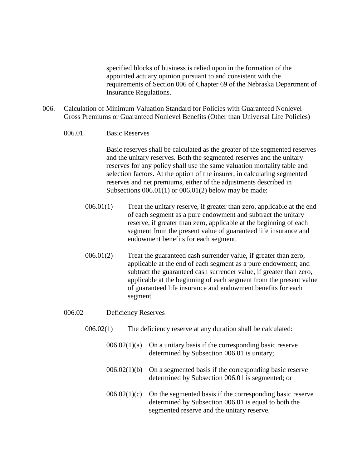specified blocks of business is relied upon in the formation of the appointed actuary opinion pursuant to and consistent with the requirements of Section 006 of Chapter 69 of the Nebraska Department of Insurance Regulations.

- 006. Calculation of Minimum Valuation Standard for Policies with Guaranteed Nonlevel Gross Premiums or Guaranteed Nonlevel Benefits (Other than Universal Life Policies)
	- 006.01 Basic Reserves

Basic reserves shall be calculated as the greater of the segmented reserves and the unitary reserves. Both the segmented reserves and the unitary reserves for any policy shall use the same valuation mortality table and selection factors. At the option of the insurer, in calculating segmented reserves and net premiums, either of the adjustments described in Subsections  $006.01(1)$  or  $006.01(2)$  below may be made:

- 006.01(1) Treat the unitary reserve, if greater than zero, applicable at the end of each segment as a pure endowment and subtract the unitary reserve, if greater than zero, applicable at the beginning of each segment from the present value of guaranteed life insurance and endowment benefits for each segment.
- 006.01(2) Treat the guaranteed cash surrender value, if greater than zero, applicable at the end of each segment as a pure endowment; and subtract the guaranteed cash surrender value, if greater than zero, applicable at the beginning of each segment from the present value of guaranteed life insurance and endowment benefits for each segment.
- 006.02 Deficiency Reserves
	- 006.02(1) The deficiency reserve at any duration shall be calculated:
		- $006.02(1)(a)$  On a unitary basis if the corresponding basic reserve determined by Subsection 006.01 is unitary;
		- $006.02(1)(b)$  On a segmented basis if the corresponding basic reserve determined by Subsection 006.01 is segmented; or
		- $006.02(1)(c)$  On the segmented basis if the corresponding basic reserve determined by Subsection 006.01 is equal to both the segmented reserve and the unitary reserve.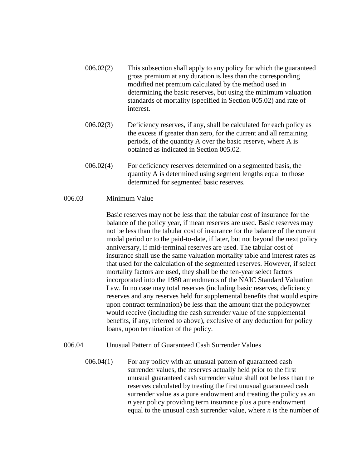- 006.02(2) This subsection shall apply to any policy for which the guaranteed gross premium at any duration is less than the corresponding modified net premium calculated by the method used in determining the basic reserves, but using the minimum valuation standards of mortality (specified in Section 005.02) and rate of interest.
- 006.02(3) Deficiency reserves, if any, shall be calculated for each policy as the excess if greater than zero, for the current and all remaining periods, of the quantity A over the basic reserve, where A is obtained as indicated in Section 005.02.
- 006.02(4) For deficiency reserves determined on a segmented basis, the quantity A is determined using segment lengths equal to those determined for segmented basic reserves.

## 006.03 Minimum Value

Basic reserves may not be less than the tabular cost of insurance for the balance of the policy year, if mean reserves are used. Basic reserves may not be less than the tabular cost of insurance for the balance of the current modal period or to the paid-to-date, if later, but not beyond the next policy anniversary, if mid-terminal reserves are used. The tabular cost of insurance shall use the same valuation mortality table and interest rates as that used for the calculation of the segmented reserves. However, if select mortality factors are used, they shall be the ten-year select factors incorporated into the 1980 amendments of the NAIC Standard Valuation Law. In no case may total reserves (including basic reserves, deficiency reserves and any reserves held for supplemental benefits that would expire upon contract termination) be less than the amount that the policyowner would receive (including the cash surrender value of the supplemental benefits, if any, referred to above), exclusive of any deduction for policy loans, upon termination of the policy.

## 006.04 Unusual Pattern of Guaranteed Cash Surrender Values

006.04(1) For any policy with an unusual pattern of guaranteed cash surrender values, the reserves actually held prior to the first unusual guaranteed cash surrender value shall not be less than the reserves calculated by treating the first unusual guaranteed cash surrender value as a pure endowment and treating the policy as an *n* year policy providing term insurance plus a pure endowment equal to the unusual cash surrender value, where *n* is the number of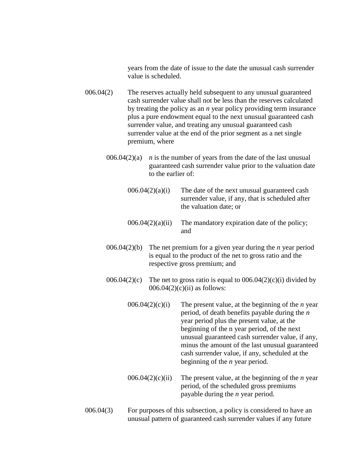years from the date of issue to the date the unusual cash surrender value is scheduled.

- 006.04(2) The reserves actually held subsequent to any unusual guaranteed cash surrender value shall not be less than the reserves calculated by treating the policy as an *n* year policy providing term insurance plus a pure endowment equal to the next unusual guaranteed cash surrender value, and treating any unusual guaranteed cash surrender value at the end of the prior segment as a net single premium, where
	- 006.04 $(2)(a)$  *n* is the number of years from the date of the last unusual guaranteed cash surrender value prior to the valuation date to the earlier of:
		- $006.04(2)(a)(i)$  The date of the next unusual guaranteed cash surrender value, if any, that is scheduled after the valuation date; or
		- $006.04(2)(a)(ii)$  The mandatory expiration date of the policy; and
	- 006.04(2)(b) The net premium for a given year during the *n* year period is equal to the product of the net to gross ratio and the respective gross premium; and
	- 006.04(2)(c) The net to gross ratio is equal to  $0.06(0.04(2)(c))$  divided by  $006.04(2)(c)(ii)$  as follows:
		- 006.04(2)(c)(i) The present value, at the beginning of the *n* year period, of death benefits payable during the *n* year period plus the present value, at the beginning of the n year period, of the next unusual guaranteed cash surrender value, if any, minus the amount of the last unusual guaranteed cash surrender value, if any, scheduled at the beginning of the *n* year period.
		- 006.04(2)(c)(ii) The present value, at the beginning of the *n* year period, of the scheduled gross premiums payable during the *n* year period.
- 006.04(3) For purposes of this subsection, a policy is considered to have an unusual pattern of guaranteed cash surrender values if any future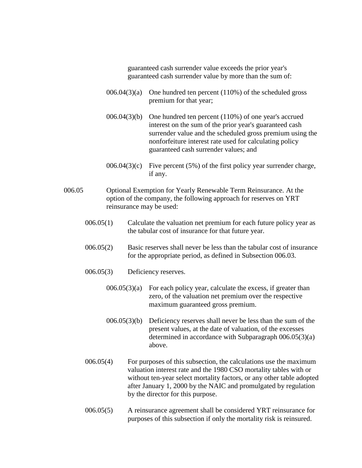guaranteed cash surrender value exceeds the prior year's guaranteed cash surrender value by more than the sum of:

- $006.04(3)(a)$  One hundred ten percent (110%) of the scheduled gross premium for that year;
- 006.04(3)(b) One hundred ten percent (110%) of one year's accrued interest on the sum of the prior year's guaranteed cash surrender value and the scheduled gross premium using the nonforfeiture interest rate used for calculating policy guaranteed cash surrender values; and
- 006.04(3)(c) Five percent  $(5\%)$  of the first policy year surrender charge, if any.
- 006.05 Optional Exemption for Yearly Renewable Term Reinsurance. At the option of the company, the following approach for reserves on YRT reinsurance may be used:
	- 006.05(1) Calculate the valuation net premium for each future policy year as the tabular cost of insurance for that future year.
	- 006.05(2) Basic reserves shall never be less than the tabular cost of insurance for the appropriate period, as defined in Subsection 006.03.
	- 006.05(3) Deficiency reserves.
		- $006.05(3)(a)$  For each policy year, calculate the excess, if greater than zero, of the valuation net premium over the respective maximum guaranteed gross premium.
		- $006.05(3)(b)$  Deficiency reserves shall never be less than the sum of the present values, at the date of valuation, of the excesses determined in accordance with Subparagraph 006.05(3)(a) above.
	- 006.05(4) For purposes of this subsection, the calculations use the maximum valuation interest rate and the 1980 CSO mortality tables with or without ten-year select mortality factors, or any other table adopted after January 1, 2000 by the NAIC and promulgated by regulation by the director for this purpose.
	- 006.05(5) A reinsurance agreement shall be considered YRT reinsurance for purposes of this subsection if only the mortality risk is reinsured.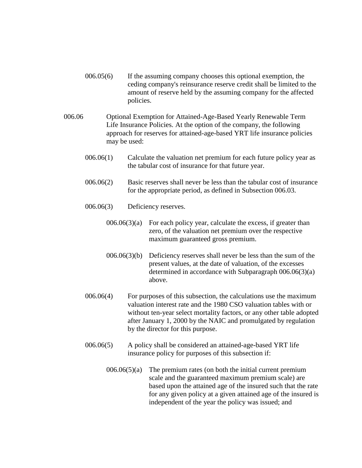- 006.05(6) If the assuming company chooses this optional exemption, the ceding company's reinsurance reserve credit shall be limited to the amount of reserve held by the assuming company for the affected policies.
- 006.06 Optional Exemption for Attained-Age-Based Yearly Renewable Term Life Insurance Policies. At the option of the company, the following approach for reserves for attained-age-based YRT life insurance policies may be used:
	- 006.06(1) Calculate the valuation net premium for each future policy year as the tabular cost of insurance for that future year.
	- 006.06(2) Basic reserves shall never be less than the tabular cost of insurance for the appropriate period, as defined in Subsection 006.03.
	- 006.06(3) Deficiency reserves.
		- $006.06(3)(a)$  For each policy year, calculate the excess, if greater than zero, of the valuation net premium over the respective maximum guaranteed gross premium.
		- 006.06(3)(b) Deficiency reserves shall never be less than the sum of the present values, at the date of valuation, of the excesses determined in accordance with Subparagraph 006.06(3)(a) above.
	- 006.06(4) For purposes of this subsection, the calculations use the maximum valuation interest rate and the 1980 CSO valuation tables with or without ten-year select mortality factors, or any other table adopted after January 1, 2000 by the NAIC and promulgated by regulation by the director for this purpose.
	- 006.06(5) A policy shall be considered an attained-age-based YRT life insurance policy for purposes of this subsection if:
		- $006.06(5)(a)$  The premium rates (on both the initial current premium scale and the guaranteed maximum premium scale) are based upon the attained age of the insured such that the rate for any given policy at a given attained age of the insured is independent of the year the policy was issued; and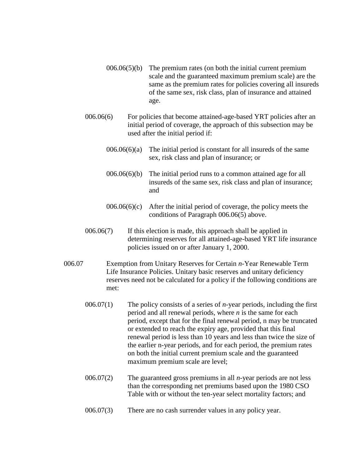- $006.06(5)(b)$  The premium rates (on both the initial current premium scale and the guaranteed maximum premium scale) are the same as the premium rates for policies covering all insureds of the same sex, risk class, plan of insurance and attained age.
- 006.06(6) For policies that become attained-age-based YRT policies after an initial period of coverage, the approach of this subsection may be used after the initial period if:
	- $006.06(6)(a)$  The initial period is constant for all insureds of the same sex, risk class and plan of insurance; or
	- 006.06(6)(b) The initial period runs to a common attained age for all insureds of the same sex, risk class and plan of insurance; and
	- $006.06(6)(c)$  After the initial period of coverage, the policy meets the conditions of Paragraph 006.06(5) above.
- 006.06(7) If this election is made, this approach shall be applied in determining reserves for all attained-age-based YRT life insurance policies issued on or after January 1, 2000.
- 006.07 Exemption from Unitary Reserves for Certain *n*-Year Renewable Term Life Insurance Policies. Unitary basic reserves and unitary deficiency reserves need not be calculated for a policy if the following conditions are met:
	- 006.07(1) The policy consists of a series of *n*-year periods, including the first period and all renewal periods, where *n* is the same for each period, except that for the final renewal period, n may be truncated or extended to reach the expiry age, provided that this final renewal period is less than 10 years and less than twice the size of the earlier n-year periods, and for each period, the premium rates on both the initial current premium scale and the guaranteed maximum premium scale are level;
	- 006.07(2) The guaranteed gross premiums in all *n*-year periods are not less than the corresponding net premiums based upon the 1980 CSO Table with or without the ten-year select mortality factors; and
	- 006.07(3) There are no cash surrender values in any policy year.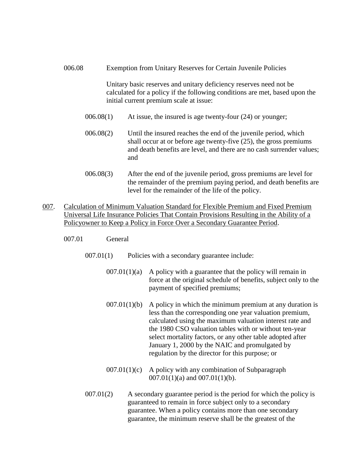- 006.08 Exemption from Unitary Reserves for Certain Juvenile Policies Unitary basic reserves and unitary deficiency reserves need not be calculated for a policy if the following conditions are met, based upon the initial current premium scale at issue: 006.08(1) At issue, the insured is age twenty-four (24) or younger; 006.08(2) Until the insured reaches the end of the juvenile period, which shall occur at or before age twenty-five (25), the gross premiums and death benefits are level, and there are no cash surrender values; and 006.08(3) After the end of the juvenile period, gross premiums are level for the remainder of the premium paying period, and death benefits are
- level for the remainder of the life of the policy. 007. Calculation of Minimum Valuation Standard for Flexible Premium and Fixed Premium
- Universal Life Insurance Policies That Contain Provisions Resulting in the Ability of a Policyowner to Keep a Policy in Force Over a Secondary Guarantee Period.
	- 007.01 General
		- 007.01(1) Policies with a secondary guarantee include:
			- $007.01(1)(a)$  A policy with a guarantee that the policy will remain in force at the original schedule of benefits, subject only to the payment of specified premiums;
			- $007.01(1)(b)$  A policy in which the minimum premium at any duration is less than the corresponding one year valuation premium, calculated using the maximum valuation interest rate and the 1980 CSO valuation tables with or without ten-year select mortality factors, or any other table adopted after January 1, 2000 by the NAIC and promulgated by regulation by the director for this purpose; or
			- $007.01(1)(c)$  A policy with any combination of Subparagraph  $007.01(1)(a)$  and  $007.01(1)(b)$ .
		- 007.01(2) A secondary guarantee period is the period for which the policy is guaranteed to remain in force subject only to a secondary guarantee. When a policy contains more than one secondary guarantee, the minimum reserve shall be the greatest of the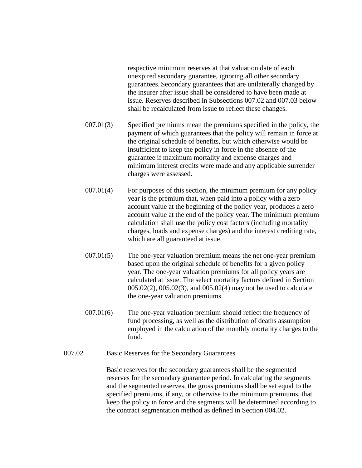respective minimum reserves at that valuation date of each unexpired secondary guarantee, ignoring all other secondary guarantees. Secondary guarantees that are unilaterally changed by the insurer after issue shall be considered to have been made at issue. Reserves described in Subsections 007.02 and 007.03 below shall be recalculated from issue to reflect these changes.

- 007.01(3) Specified premiums mean the premiums specified in the policy, the payment of which guarantees that the policy will remain in force at the original schedule of benefits, but which otherwise would be insufficient to keep the policy in force in the absence of the guarantee if maximum mortality and expense charges and minimum interest credits were made and any applicable surrender charges were assessed.
- 007.01(4) For purposes of this section, the minimum premium for any policy year is the premium that, when paid into a policy with a zero account value at the beginning of the policy year, produces a zero account value at the end of the policy year. The minimum premium calculation shall use the policy cost factors (including mortality charges, loads and expense charges) and the interest crediting rate, which are all guaranteed at issue.
- 007.01(5) The one-year valuation premium means the net one-year premium based upon the original schedule of benefits for a given policy year. The one-year valuation premiums for all policy years are calculated at issue. The select mortality factors defined in Section 005.02(2), 005.02(3), and 005.02(4) may not be used to calculate the one-year valuation premiums.
- 007.01(6) The one-year valuation premium should reflect the frequency of fund processing, as well as the distribution of deaths assumption employed in the calculation of the monthly mortality charges to the fund.
- 007.02 Basic Reserves for the Secondary Guarantees

Basic reserves for the secondary guarantees shall be the segmented reserves for the secondary guarantee period. In calculating the segments and the segmented reserves, the gross premiums shall be set equal to the specified premiums, if any, or otherwise to the minimum premiums, that keep the policy in force and the segments will be determined according to the contract segmentation method as defined in Section 004.02.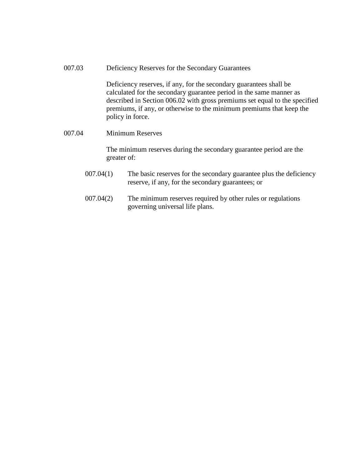007.03 Deficiency Reserves for the Secondary Guarantees

Deficiency reserves, if any, for the secondary guarantees shall be calculated for the secondary guarantee period in the same manner as described in Section 006.02 with gross premiums set equal to the specified premiums, if any, or otherwise to the minimum premiums that keep the policy in force.

#### 007.04 Minimum Reserves

The minimum reserves during the secondary guarantee period are the greater of:

- 007.04(1) The basic reserves for the secondary guarantee plus the deficiency reserve, if any, for the secondary guarantees; or
- 007.04(2) The minimum reserves required by other rules or regulations governing universal life plans.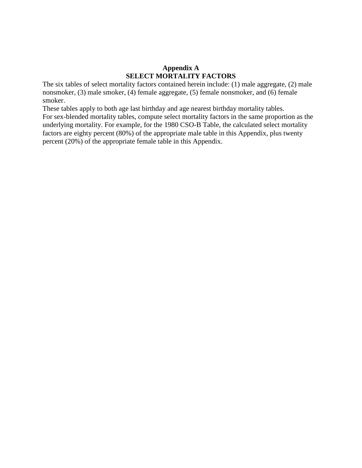## **Appendix A SELECT MORTALITY FACTORS**

The six tables of select mortality factors contained herein include: (1) male aggregate, (2) male nonsmoker, (3) male smoker, (4) female aggregate, (5) female nonsmoker, and (6) female smoker.

These tables apply to both age last birthday and age nearest birthday mortality tables. For sex-blended mortality tables, compute select mortality factors in the same proportion as the underlying mortality. For example, for the 1980 CSO-B Table, the calculated select mortality factors are eighty percent (80%) of the appropriate male table in this Appendix, plus twenty percent (20%) of the appropriate female table in this Appendix.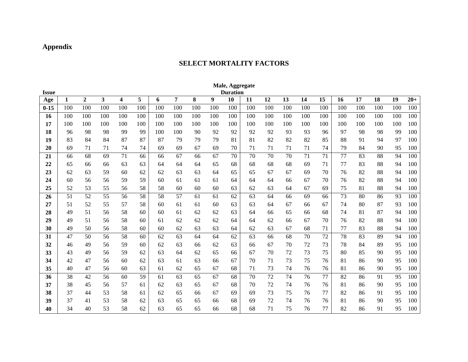# **Appendix**

# **SELECT MORTALITY FACTORS**

|              |     |                  |     |     |     |     |     |     |     | Male, Aggregate |     |     |     |     |     |     |     |     |     |       |
|--------------|-----|------------------|-----|-----|-----|-----|-----|-----|-----|-----------------|-----|-----|-----|-----|-----|-----|-----|-----|-----|-------|
| <b>Issue</b> |     |                  |     |     |     |     |     |     |     | <b>Duration</b> |     |     |     |     |     |     |     |     |     |       |
| Age          | 1   | $\boldsymbol{2}$ | 3   | 4   | 5   | 6   | 7   | 8   | 9   | 10              | 11  | 12  | 13  | 14  | 15  | 16  | 17  | 18  | 19  | $20+$ |
| $0 - 15$     | 100 | 100              | 100 | 100 | 100 | 100 | 100 | 100 | 100 | 100             | 100 | 100 | 100 | 100 | 100 | 100 | 100 | 100 | 100 | 100   |
| 16           | 100 | 100              | 100 | 100 | 100 | 100 | 100 | 100 | 100 | 100             | 100 | 100 | 100 | 100 | 100 | 100 | 100 | 100 | 100 | 100   |
| 17           | 100 | 100              | 100 | 100 | 100 | 100 | 100 | 100 | 100 | 100             | 100 | 100 | 100 | 100 | 100 | 100 | 100 | 100 | 100 | 100   |
| 18           | 96  | 98               | 98  | 99  | 99  | 100 | 100 | 90  | 92  | 92              | 92  | 92  | 93  | 93  | 96  | 97  | 98  | 98  | 99  | 100   |
| 19           | 83  | 84               | 84  | 87  | 87  | 87  | 79  | 79  | 79  | 81              | 81  | 82  | 82  | 82  | 85  | 88  | 91  | 94  | 97  | 100   |
| 20           | 69  | 71               | 71  | 74  | 74  | 69  | 69  | 67  | 69  | 70              | 71  | 71  | 71  | 71  | 74  | 79  | 84  | 90  | 95  | 100   |
| 21           | 66  | 68               | 69  | 71  | 66  | 66  | 67  | 66  | 67  | 70              | 70  | 70  | 70  | 71  | 71  | 77  | 83  | 88  | 94  | 100   |
| 22           | 65  | 66               | 66  | 63  | 63  | 64  | 64  | 64  | 65  | 68              | 68  | 68  | 68  | 69  | 71  | 77  | 83  | 88  | 94  | 100   |
| 23           | 62  | 63               | 59  | 60  | 62  | 62  | 63  | 63  | 64  | 65              | 65  | 67  | 67  | 69  | 70  | 76  | 82  | 88  | 94  | 100   |
| 24           | 60  | 56               | 56  | 59  | 59  | 60  | 61  | 61  | 61  | 64              | 64  | 64  | 66  | 67  | 70  | 76  | 82  | 88  | 94  | 100   |
| 25           | 52  | 53               | 55  | 56  | 58  | 58  | 60  | 60  | 60  | 63              | 62  | 63  | 64  | 67  | 69  | 75  | 81  | 88  | 94  | 100   |
| 26           | 51  | 52               | 55  | 56  | 58  | 58  | 57  | 61  | 61  | 62              | 63  | 64  | 66  | 69  | 66  | 73  | 80  | 86  | 93  | 100   |
| 27           | 51  | 52               | 55  | 57  | 58  | 60  | 61  | 61  | 60  | 63              | 63  | 64  | 67  | 66  | 67  | 74  | 80  | 87  | 93  | 100   |
| 28           | 49  | 51               | 56  | 58  | 60  | 60  | 61  | 62  | 62  | 63              | 64  | 66  | 65  | 66  | 68  | 74  | 81  | 87  | 94  | 100   |
| 29           | 49  | 51               | 56  | 58  | 60  | 61  | 62  | 62  | 62  | 64              | 64  | 62  | 66  | 67  | 70  | 76  | 82  | 88  | 94  | 100   |
| 30           | 49  | 50               | 56  | 58  | 60  | 60  | 62  | 63  | 63  | 64              | 62  | 63  | 67  | 68  | 71  | 77  | 83  | 88  | 94  | 100   |
| 31           | 47  | 50               | 56  | 58  | 60  | 62  | 63  | 64  | 64  | 62              | 63  | 66  | 68  | 70  | 72  | 78  | 83  | 89  | 94  | 100   |
| 32           | 46  | 49               | 56  | 59  | 60  | 62  | 63  | 66  | 62  | 63              | 66  | 67  | 70  | 72  | 73  | 78  | 84  | 89  | 95  | 100   |
| 33           | 43  | 49               | 56  | 59  | 62  | 63  | 64  | 62  | 65  | 66              | 67  | 70  | 72  | 73  | 75  | 80  | 85  | 90  | 95  | 100   |
| 34           | 42  | 47               | 56  | 60  | 62  | 63  | 61  | 63  | 66  | 67              | 70  | 71  | 73  | 75  | 76  | 81  | 86  | 90  | 95  | 100   |
| 35           | 40  | 47               | 56  | 60  | 63  | 61  | 62  | 65  | 67  | 68              | 71  | 73  | 74  | 76  | 76  | 81  | 86  | 90  | 95  | 100   |
| 36           | 38  | 42               | 56  | 60  | 59  | 61  | 63  | 65  | 67  | 68              | 70  | 72  | 74  | 76  | 77  | 82  | 86  | 91  | 95  | 100   |
| 37           | 38  | 45               | 56  | 57  | 61  | 62  | 63  | 65  | 67  | 68              | 70  | 72  | 74  | 76  | 76  | 81  | 86  | 90  | 95  | 100   |
| 38           | 37  | 44               | 53  | 58  | 61  | 62  | 65  | 66  | 67  | 69              | 69  | 73  | 75  | 76  | 77  | 82  | 86  | 91  | 95  | 100   |
| 39           | 37  | 41               | 53  | 58  | 62  | 63  | 65  | 65  | 66  | 68              | 69  | 72  | 74  | 76  | 76  | 81  | 86  | 90  | 95  | 100   |
| 40           | 34  | 40               | 53  | 58  | 62  | 63  | 65  | 65  | 66  | 68              | 68  | 71  | 75  | 76  | 77  | 82  | 86  | 91  | 95  | 100   |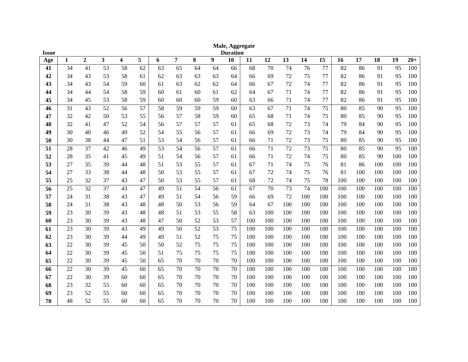| <b>Issue</b> | Male, Aggregate<br><b>Duration</b> |                  |                 |                         |                 |                 |                |                 |                 |                 |     |     |                 |     |                 |     |     |     |     |       |
|--------------|------------------------------------|------------------|-----------------|-------------------------|-----------------|-----------------|----------------|-----------------|-----------------|-----------------|-----|-----|-----------------|-----|-----------------|-----|-----|-----|-----|-------|
| Age          | $\mathbf{1}$                       | $\boldsymbol{2}$ | 3               | $\overline{\mathbf{4}}$ | 5               | 6               | $\overline{7}$ | 8               | 9               | 10              | 11  | 12  | 13              | 14  | 15              | 16  | 17  | 18  | 19  | $20+$ |
| 41           | 34                                 | 41               | 53              | 58                      | 62              | 63              | 65             | 64              | 64              | 66              | 68  | 70  | 74              | 76  | 77              | 82  | 86  | 91  | 95  | 100   |
| 42           | 34                                 | 43               | 53              | 58                      | 61              | 62              | 63             | 63              | 63              | 64              | 66  | 69  | 72              | 75  | 77              | 82  | 86  | 91  | 95  | 100   |
| 43           | 34                                 | 43               | 54              | 59                      | 60              | 61              | 63             | 62              | 62              | 64              | 66  | 67  | 72              | 74  | 77              | 82  | 86  | 91  | 95  | 100   |
| 44           | 34                                 | 44               | 54              | 58                      | 59              | 60              | 61             | 60              | 61              | 62              | 64  | 67  | 71              | 74  | 77              | 82  | 86  | 91  | 95  | 100   |
| 45           | 34                                 | 45               | 53              | 58                      | 59              | 60              | 60             | 60              | 59              | 60              | 63  | 66  | 71              | 74  | 77              | 82  | 86  | 91  | 95  | 100   |
| 46           | $\overline{31}$                    | 43               | $\overline{52}$ | 56                      | $\overline{57}$ | $\overline{58}$ | 59             | 59              | 59              | 60              | 63  | 67  | $\overline{71}$ | 74  | $\overline{75}$ | 80  | 85  | 90  | 95  | 100   |
| 47           | 32                                 | 42               | 50              | 53                      | 55              | 56              | 57             | 58              | 59              | 60              | 65  | 68  | 71              | 74  | 75              | 80  | 85  | 90  | 95  | 100   |
| 48           | 32                                 | 41               | 47              | 52                      | 54              | 56              | 57             | 57              | 57              | 61              | 65  | 68  | 72              | 73  | 74              | 79  | 84  | 90  | 95  | 100   |
| 49           | 30                                 | 40               | 46              | 49                      | 52              | 54              | 55             | 56              | 57              | 61              | 66  | 69  | 72              | 73  | 74              | 79  | 84  | 90  | 95  | 100   |
| 50           | 30                                 | 38               | 44              | 47                      | 51              | 53              | 54             | 56              | 57              | 61              | 66  | 71  | 72              | 73  | 75              | 80  | 85  | 90  | 95  | 100   |
| 51           | 28                                 | 37               | 42              | 46                      | 49              | 53              | 54             | 56              | 57              | 61              | 66  | 71  | 72              | 73  | 75              | 80  | 85  | 90  | 95  | 100   |
| 52           | 28                                 | 35               | 41              | 45                      | 49              | 51              | 54             | 56              | 57              | 61              | 66  | 71  | 72              | 74  | 75              | 80  | 85  | 90  | 100 | 100   |
| 53           | 27                                 | 35               | 39              | 44                      | 48              | 51              | 53             | 55              | 57              | 61              | 67  | 71  | 74              | 75  | 76              | 81  | 86  | 100 | 100 | 100   |
| 54           | 27                                 | 33               | 38              | 44                      | 48              | 50              | 53             | 55              | 57              | 61              | 67  | 72  | 74              | 75  | 76              | 81  | 100 | 100 | 100 | 100   |
| 55           | 25                                 | 32               | 37              | 43                      | 47              | 50              | 53             | 55              | 57              | 61              | 68  | 72  | 74              | 75  | 78              | 100 | 100 | 100 | 100 | 100   |
| 56           | 25                                 | 32               | 37              | 43                      | 47              | 49              | 51             | 54              | 56              | 61              | 67  | 70  | 73              | 74  | 100             | 100 | 100 | 100 | 100 | 100   |
| 57           | 24                                 | 31               | 38              | 43                      | 47              | 49              | 51             | 54              | 56              | 59              | 66  | 69  | 72              | 100 | 100             | 100 | 100 | 100 | 100 | 100   |
| 58           | 24                                 | 31               | 38              | 43                      | 48              | 48              | 50             | 53              | 56              | 59              | 64  | 67  | 100             | 100 | 100             | 100 | 100 | 100 | 100 | 100   |
| 59           | 23                                 | 30               | 39              | 43                      | 48              | 48              | 51             | 53              | 55              | 58              | 63  | 100 | 100             | 100 | 100             | 100 | 100 | 100 | 100 | 100   |
| 60           | 23                                 | 30               | 39              | 43                      | 48              | 47              | 50             | 52              | 53              | 57              | 100 | 100 | 100             | 100 | 100             | 100 | 100 | 100 | 100 | 100   |
| 61           | 23                                 | 30               | 39              | 43                      | 49              | 49              | 50             | $\overline{52}$ | $\overline{53}$ | $\overline{75}$ | 100 | 100 | 100             | 100 | 100             | 100 | 100 | 100 | 100 | 100   |
| 62           | 23                                 | 30               | 39              | 44                      | 49              | 49              | 51             | 52              | 75              | 75              | 100 | 100 | 100             | 100 | 100             | 100 | 100 | 100 | 100 | 100   |
| 63           | 22                                 | 30               | 39              | 45                      | 50              | 50              | 52             | 75              | 75              | 75              | 100 | 100 | 100             | 100 | 100             | 100 | 100 | 100 | 100 | 100   |
| 64           | 22                                 | 30               | 39              | 45                      | 50              | 51              | 75             | 75              | 75              | 75              | 100 | 100 | 100             | 100 | 100             | 100 | 100 | 100 | 100 | 100   |
| 65           | 22                                 | 30               | 39              | 45                      | 50              | 65              | 70             | 70              | 70              | 70              | 100 | 100 | 100             | 100 | 100             | 100 | 100 | 100 | 100 | 100   |
| 66           | 22                                 | 30               | 39              | 45                      | 60              | 65              | 70             | 70              | 70              | 70              | 100 | 100 | 100             | 100 | 100             | 100 | 100 | 100 | 100 | 100   |
| 67           | 22                                 | 30               | 39              | 60                      | 60              | 65              | 70             | 70              | 70              | 70              | 100 | 100 | 100             | 100 | 100             | 100 | 100 | 100 | 100 | 100   |
| 68           | 23                                 | 32               | 55              | 60                      | 60              | 65              | 70             | 70              | 70              | 70              | 100 | 100 | 100             | 100 | 100             | 100 | 100 | 100 | 100 | 100   |
| 69           | 23                                 | 52               | 55              | 60                      | 60              | 65              | 70             | 70              | 70              | 70              | 100 | 100 | 100             | 100 | 100             | 100 | 100 | 100 | 100 | 100   |
| 70           | 48                                 | 52               | 55              | 60                      | 60              | 65              | 70             | 70              | 70              | 70              | 100 | 100 | 100             | 100 | 100             | 100 | 100 | 100 | 100 | 100   |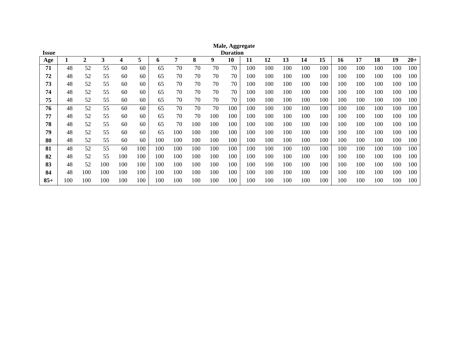| Issue |     |              |     |     |     |     |     |     |     | <b>Duration</b> |     |     |     |     |     |     |     |     |     |       |
|-------|-----|--------------|-----|-----|-----|-----|-----|-----|-----|-----------------|-----|-----|-----|-----|-----|-----|-----|-----|-----|-------|
| Age   |     | $\mathbf{2}$ | 3   | 4   | 5   | 6   | 7   | 8   | 9   | 10              | 11  | 12  | 13  | 14  | 15  | 16  | 17  | 18  | 19  | $20+$ |
| 71    | 48  | 52           | 55  | 60  | 60  | 65  | 70  | 70  | 70  | 70              | 100 | 100 | 100 | 100 | 100 | 100 | 100 | 100 | 100 | 100   |
| 72    | 48  | 52           | 55  | 60  | 60  | 65  | 70  | 70  | 70  | 70              | 100 | 100 | 100 | 100 | 100 | 100 | 100 | 100 | 100 | 100   |
| 73    | 48  | 52           | 55  | 60  | 60  | 65  | 70  | 70  | 70  | 70              | 100 | 100 | 100 | 100 | 100 | 100 | 100 | 100 | 100 | 100   |
| 74    | 48  | 52           | 55  | 60  | 60  | 65  | 70  | 70  | 70  | 70              | 100 | 100 | 100 | 100 | 100 | 100 | 100 | 100 | 100 | 100   |
| 75    | 48  | 52           | 55  | 60  | 60  | 65  | 70  | 70  | 70  | 70              | 100 | 100 | 100 | 100 | 100 | 100 | 100 | 100 | 100 | 100   |
| 76    | 48  | 52           | 55  | 60  | 60  | 65  | 70  | 70  | 70  | 100             | 100 | 100 | 100 | 100 | 100 | 100 | 100 | 100 | 100 | 100   |
| 77    | 48  | 52           | 55  | 60  | 60  | 65  | 70  | 70  | 100 | 100             | 100 | 100 | 100 | 100 | 100 | 100 | 100 | 100 | 100 | 100   |
| 78    | 48  | 52           | 55  | 60  | 60  | 65  | 70  | 100 | 100 | 100             | 100 | 100 | 100 | 100 | 100 | 100 | 100 | 100 | 100 | 100   |
| 79    | 48  | 52           | 55  | 60  | 60  | 65  | 100 | 100 | 100 | 100             | 100 | 100 | 100 | 100 | 100 | 100 | 100 | 100 | 100 | 100   |
| 80    | 48  | 52           | 55  | 60  | 60  | 100 | 100 | 100 | 100 | 100             | 100 | 100 | 100 | 100 | 100 | 100 | 100 | 100 | 100 | 100   |
| 81    | 48  | 52           | 55  | 60  | 100 | 100 | 100 | 100 | 100 | 100             | 100 | 100 | 100 | 100 | 100 | 100 | 100 | 100 | 100 | 100   |
| 82    | 48  | 52           | 55  | 100 | 100 | 100 | 100 | 100 | 100 | 100             | 100 | 100 | 100 | 100 | 100 | 100 | 100 | 100 | 100 | 100   |
| 83    | 48  | 52           | 100 | 100 | 100 | 100 | 100 | 100 | 100 | 100             | 100 | 100 | 100 | 100 | 100 | 100 | 100 | 100 | 100 | 100   |
| 84    | 48  | 100          | 100 | 100 | 100 | 100 | 100 | 100 | 100 | 100             | 100 | 100 | 100 | 100 | 100 | 100 | 100 | 100 | 100 | 100   |
| $85+$ | 100 | 100          | 100 | 100 | 100 | 100 | 100 | 100 | 100 | 100             | 100 | 100 | 100 | 100 | 100 | 100 | 100 | 100 | 100 | 100   |

**Male, Aggregate**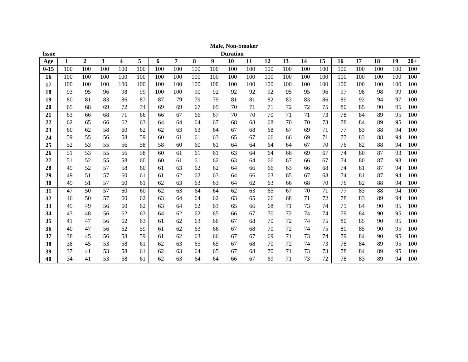| <b>Issue</b> |     |                  |     |                  |     |     |     |     |     | <b>Duration</b> |     |     |     |     |     |     |     |     |     |       |
|--------------|-----|------------------|-----|------------------|-----|-----|-----|-----|-----|-----------------|-----|-----|-----|-----|-----|-----|-----|-----|-----|-------|
| Age          | 1   | $\boldsymbol{2}$ | 3   | $\boldsymbol{4}$ | 5   | 6   | 7   | 8   | 9   | 10              | 11  | 12  | 13  | 14  | 15  | 16  | 17  | 18  | 19  | $20+$ |
| $0 - 15$     | 100 | 100              | 100 | 100              | 100 | 100 | 100 | 100 | 100 | 100             | 100 | 100 | 100 | 100 | 100 | 100 | 100 | 100 | 100 | 100   |
| 16           | 100 | 100              | 100 | 100              | 100 | 100 | 100 | 100 | 100 | 100             | 100 | 100 | 100 | 100 | 100 | 100 | 100 | 100 | 100 | 100   |
| 17           | 100 | 100              | 100 | 100              | 100 | 100 | 100 | 100 | 100 | 100             | 100 | 100 | 100 | 100 | 100 | 100 | 100 | 100 | 100 | 100   |
| 18           | 93  | 95               | 96  | 98               | 99  | 100 | 100 | 90  | 92  | 92              | 92  | 92  | 95  | 95  | 96  | 97  | 98  | 98  | 99  | 100   |
| 19           | 80  | 81               | 83  | 86               | 87  | 87  | 79  | 79  | 79  | 81              | 81  | 82  | 83  | 83  | 86  | 89  | 92  | 94  | 97  | 100   |
| 20           | 65  | 68               | 69  | 72               | 74  | 69  | 69  | 67  | 69  | 70              | 71  | 71  | 72  | 72  | 75  | 80  | 85  | 90  | 95  | 100   |
| 21           | 63  | 66               | 68  | 71               | 66  | 66  | 67  | 66  | 67  | 70              | 70  | 70  | 71  | 71  | 73  | 78  | 84  | 89  | 95  | 100   |
| 22           | 62  | 65               | 66  | 62               | 63  | 64  | 64  | 64  | 67  | 68              | 68  | 68  | 70  | 70  | 73  | 78  | 84  | 89  | 95  | 100   |
| 23           | 60  | 62               | 58  | 60               | 62  | 62  | 63  | 63  | 64  | 67              | 68  | 68  | 67  | 69  | 71  | 77  | 83  | 88  | 94  | 100   |
| 24           | 59  | 55               | 56  | 58               | 59  | 60  | 61  | 61  | 63  | 65              | 67  | 66  | 66  | 69  | 71  | 77  | 83  | 88  | 94  | 100   |
| 25           | 52  | 53               | 55  | 56               | 58  | 58  | 60  | 60  | 61  | 64              | 64  | 64  | 64  | 67  | 70  | 76  | 82  | 88  | 94  | 100   |
| 26           | 51  | 53               | 55  | 56               | 58  | 60  | 61  | 61  | 61  | 63              | 64  | 64  | 66  | 69  | 67  | 74  | 80  | 87  | 93  | 100   |
| 27           | 51  | 52               | 55  | 58               | 60  | 60  | 61  | 61  | 62  | 63              | 64  | 66  | 67  | 66  | 67  | 74  | 80  | 87  | 93  | 100   |
| 28           | 49  | 52               | 57  | 58               | 60  | 61  | 63  | 62  | 62  | 64              | 66  | 66  | 63  | 66  | 68  | 74  | 81  | 87  | 94  | 100   |
| 29           | 49  | 51               | 57  | 60               | 61  | 61  | 62  | 62  | 63  | 64              | 66  | 63  | 65  | 67  | 68  | 74  | 81  | 87  | 94  | 100   |
| 30           | 49  | 51               | 57  | 60               | 61  | 62  | 63  | 63  | 63  | 64              | 62  | 63  | 66  | 68  | 70  | 76  | 82  | 88  | 94  | 100   |
| 31           | 47  | 50               | 57  | 60               | 60  | 62  | 63  | 64  | 64  | 62              | 63  | 65  | 67  | 70  | 71  | 77  | 83  | 88  | 94  | 100   |
| 32           | 46  | 50               | 57  | 60               | 62  | 63  | 64  | 64  | 62  | 63              | 65  | 66  | 68  | 71  | 72  | 78  | 83  | 89  | 94  | 100   |
| 33           | 45  | 49               | 56  | 60               | 62  | 63  | 64  | 62  | 63  | 65              | 66  | 68  | 71  | 73  | 74  | 79  | 84  | 90  | 95  | 100   |
| 34           | 43  | 48               | 56  | 62               | 63  | 64  | 62  | 62  | 65  | 66              | 67  | 70  | 72  | 74  | 74  | 79  | 84  | 90  | 95  | 100   |
| 35           | 41  | 47               | 56  | 62               | 63  | 61  | 62  | 63  | 66  | 67              | 68  | 70  | 72  | 74  | 75  | 80  | 85  | 90  | 95  | 100   |
| 36           | 40  | 47               | 56  | 62               | 59  | 61  | 62  | 63  | 66  | 67              | 68  | 70  | 72  | 74  | 75  | 80  | 85  | 90  | 95  | 100   |
| 37           | 38  | 45               | 56  | 58               | 59  | 61  | 62  | 63  | 66  | 67              | 67  | 69  | 71  | 73  | 74  | 79  | 84  | 90  | 95  | 100   |
| 38           | 38  | 45               | 53  | 58               | 61  | 62  | 63  | 65  | 65  | 67              | 68  | 70  | 72  | 74  | 73  | 78  | 84  | 89  | 95  | 100   |
| 39           | 37  | 41               | 53  | 58               | 61  | 62  | 63  | 64  | 65  | 67              | 68  | 70  | 71  | 73  | 73  | 78  | 84  | 89  | 95  | 100   |
| 40           | 34  | 41               | 53  | 58               | 61  | 62  | 63  | 64  | 64  | 66              | 67  | 69  | 71  | 73  | 72  | 78  | 83  | 89  | 94  | 100   |

**Male, Non -Smoker**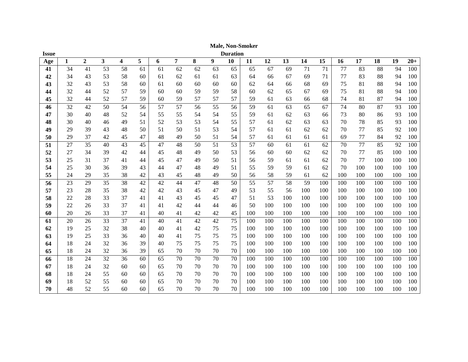| <b>Issue</b> |    |                  |                         |                         |    |    |    |    |    | <b>Duration</b> |     |     |     |     |     |     |     |     |     |       |
|--------------|----|------------------|-------------------------|-------------------------|----|----|----|----|----|-----------------|-----|-----|-----|-----|-----|-----|-----|-----|-----|-------|
| Age          | 1  | $\boldsymbol{2}$ | $\overline{\mathbf{3}}$ | $\overline{\mathbf{4}}$ | 5  | 6  | 7  | 8  | 9  | 10              | 11  | 12  | 13  | 14  | 15  | 16  | 17  | 18  | 19  | $20+$ |
| 41           | 34 | 41               | 53                      | 58                      | 61 | 61 | 62 | 62 | 63 | 65              | 65  | 67  | 69  | 71  | 71  | 77  | 83  | 88  | 94  | 100   |
| 42           | 34 | 43               | 53                      | 58                      | 60 | 61 | 62 | 61 | 61 | 63              | 64  | 66  | 67  | 69  | 71  | 77  | 83  | 88  | 94  | 100   |
| 43           | 32 | 43               | 53                      | 58                      | 60 | 61 | 60 | 60 | 60 | 60              | 62  | 64  | 66  | 68  | 69  | 75  | 81  | 88  | 94  | 100   |
| 44           | 32 | 44               | 52                      | 57                      | 59 | 60 | 60 | 59 | 59 | 58              | 60  | 62  | 65  | 67  | 69  | 75  | 81  | 88  | 94  | 100   |
| 45           | 32 | 44               | 52                      | 57                      | 59 | 60 | 59 | 57 | 57 | 57              | 59  | 61  | 63  | 66  | 68  | 74  | 81  | 87  | 94  | 100   |
| 46           | 32 | 42               | 50                      | 54                      | 56 | 57 | 57 | 56 | 55 | 56              | 59  | 61  | 63  | 65  | 67  | 74  | 80  | 87  | 93  | 100   |
| 47           | 30 | 40               | 48                      | 52                      | 54 | 55 | 55 | 54 | 54 | 55              | 59  | 61  | 62  | 63  | 66  | 73  | 80  | 86  | 93  | 100   |
| 48           | 30 | 40               | 46                      | 49                      | 51 | 52 | 53 | 53 | 54 | 55              | 57  | 61  | 62  | 63  | 63  | 70  | 78  | 85  | 93  | 100   |
| 49           | 29 | 39               | 43                      | 48                      | 50 | 51 | 50 | 51 | 53 | 54              | 57  | 61  | 61  | 62  | 62  | 70  | 77  | 85  | 92  | 100   |
| 50           | 29 | 37               | 42                      | 45                      | 47 | 48 | 49 | 50 | 51 | 54              | 57  | 61  | 61  | 61  | 61  | 69  | 77  | 84  | 92  | 100   |
| 51           | 27 | 35               | 40                      | 43                      | 45 | 47 | 48 | 50 | 51 | 53              | 57  | 60  | 61  | 61  | 62  | 70  | 77  | 85  | 92  | 100   |
| 52           | 27 | 34               | 39                      | 42                      | 44 | 45 | 48 | 49 | 50 | 53              | 56  | 60  | 60  | 62  | 62  | 70  | 77  | 85  | 100 | 100   |
| 53           | 25 | 31               | 37                      | 41                      | 44 | 45 | 47 | 49 | 50 | 51              | 56  | 59  | 61  | 61  | 62  | 70  | 77  | 100 | 100 | 100   |
| 54           | 25 | 30               | 36                      | 39                      | 43 | 44 | 47 | 48 | 49 | 51              | 55  | 59  | 59  | 61  | 62  | 70  | 100 | 100 | 100 | 100   |
| 55           | 24 | 29               | 35                      | 38                      | 42 | 43 | 45 | 48 | 49 | 50              | 56  | 58  | 59  | 61  | 62  | 100 | 100 | 100 | 100 | 100   |
| 56           | 23 | 29               | 35                      | 38                      | 42 | 42 | 44 | 47 | 48 | 50              | 55  | 57  | 58  | 59  | 100 | 100 | 100 | 100 | 100 | 100   |
| 57           | 23 | 28               | 35                      | 38                      | 42 | 42 | 43 | 45 | 47 | 49              | 53  | 55  | 56  | 100 | 100 | 100 | 100 | 100 | 100 | 100   |
| 58           | 22 | 28               | 33                      | 37                      | 41 | 41 | 43 | 45 | 45 | 47              | 51  | 53  | 100 | 100 | 100 | 100 | 100 | 100 | 100 | 100   |
| 59           | 22 | 26               | 33                      | 37                      | 41 | 41 | 42 | 44 | 44 | 46              | 50  | 100 | 100 | 100 | 100 | 100 | 100 | 100 | 100 | 100   |
| 60           | 20 | 26               | 33                      | 37                      | 41 | 40 | 41 | 42 | 42 | 45              | 100 | 100 | 100 | 100 | 100 | 100 | 100 | 100 | 100 | 100   |
| 61           | 20 | 26               | 33                      | 37                      | 41 | 40 | 41 | 42 | 42 | 75              | 100 | 100 | 100 | 100 | 100 | 100 | 100 | 100 | 100 | 100   |
| 62           | 19 | 25               | 32                      | 38                      | 40 | 40 | 41 | 42 | 75 | 75              | 100 | 100 | 100 | 100 | 100 | 100 | 100 | 100 | 100 | 100   |
| 63           | 19 | 25               | 33                      | 36                      | 40 | 40 | 41 | 75 | 75 | 75              | 100 | 100 | 100 | 100 | 100 | 100 | 100 | 100 | 100 | 100   |
| 64           | 18 | 24               | 32                      | 36                      | 39 | 40 | 75 | 75 | 75 | 75              | 100 | 100 | 100 | 100 | 100 | 100 | 100 | 100 | 100 | 100   |
| 65           | 18 | 24               | 32                      | 36                      | 39 | 65 | 70 | 70 | 70 | 70              | 100 | 100 | 100 | 100 | 100 | 100 | 100 | 100 | 100 | 100   |
| 66           | 18 | 24               | 32                      | 36                      | 60 | 65 | 70 | 70 | 70 | 70              | 100 | 100 | 100 | 100 | 100 | 100 | 100 | 100 | 100 | 100   |
| 67           | 18 | 24               | 32                      | 60                      | 60 | 65 | 70 | 70 | 70 | 70              | 100 | 100 | 100 | 100 | 100 | 100 | 100 | 100 | 100 | 100   |
| 68           | 18 | 24               | 55                      | 60                      | 60 | 65 | 70 | 70 | 70 | 70              | 100 | 100 | 100 | 100 | 100 | 100 | 100 | 100 | 100 | 100   |
| 69           | 18 | 52               | 55                      | 60                      | 60 | 65 | 70 | 70 | 70 | 70              | 100 | 100 | 100 | 100 | 100 | 100 | 100 | 100 | 100 | 100   |
| 70           | 48 | 52               | 55                      | 60                      | 60 | 65 | 70 | 70 | 70 | 70              | 100 | 100 | 100 | 100 | 100 | 100 | 100 | 100 | 100 | 100   |

**Male, Non -Smoker**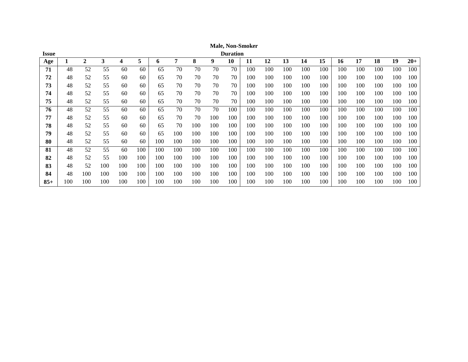| <b>Issue</b> |     |                |     |                |     |     |     |     |     | <b>Duration</b> |     |     |     |     |     |     |     |     |     |       |
|--------------|-----|----------------|-----|----------------|-----|-----|-----|-----|-----|-----------------|-----|-----|-----|-----|-----|-----|-----|-----|-----|-------|
| Age          |     | $\overline{2}$ | 3   | $\overline{4}$ | 5   | 6   | 7   | 8   | 9   | 10              | 11  | 12  | 13  | 14  | 15  | 16  | 17  | 18  | 19  | $20+$ |
| 71           | 48  | 52             | 55  | 60             | 60  | 65  | 70  | 70  | 70  | 70              | 100 | 100 | 100 | 100 | 100 | 100 | 100 | 100 | 100 | 100   |
| 72           | 48  | 52             | 55  | 60             | 60  | 65  | 70  | 70  | 70  | 70              | 100 | 100 | 100 | 100 | 100 | 100 | 100 | 100 | 100 | 100   |
| 73           | 48  | 52             | 55  | 60             | 60  | 65  | 70  | 70  | 70  | 70              | 100 | 100 | 100 | 100 | 100 | 100 | 100 | 100 | 100 | 100   |
| 74           | 48  | 52             | 55  | 60             | 60  | 65  | 70  | 70  | 70  | 70              | 100 | 100 | 100 | 100 | 100 | 100 | 100 | 100 | 100 | 100   |
| 75           | 48  | 52             | 55  | 60             | 60  | 65  | 70  | 70  | 70  | 70              | 100 | 100 | 100 | 100 | 100 | 100 | 100 | 100 | 100 | 100   |
| 76           | 48  | 52             | 55  | 60             | 60  | 65  | 70  | 70  | 70  | 100             | 100 | 100 | 100 | 100 | 100 | 100 | 100 | 100 | 100 | 100   |
| 77           | 48  | 52             | 55  | 60             | 60  | 65  | 70  | 70  | 100 | 100             | 100 | 100 | 100 | 100 | 100 | 100 | 100 | 100 | 100 | 100   |
| 78           | 48  | 52             | 55  | 60             | 60  | 65  | 70  | 100 | 100 | 100             | 100 | 100 | 100 | 100 | 100 | 100 | 100 | 100 | 100 | 100   |
| 79           | 48  | 52             | 55  | 60             | 60  | 65  | 100 | 100 | 100 | 100             | 100 | 100 | 100 | 100 | 100 | 100 | 100 | 100 | 100 | 100   |
| 80           | 48  | 52             | 55  | 60             | 60  | 100 | 100 | 100 | 100 | 100             | 100 | 100 | 100 | 100 | 100 | 100 | 100 | 100 | 100 | 100   |
| 81           | 48  | 52             | 55  | 60             | 100 | 100 | 100 | 100 | 100 | 100             | 100 | 100 | 100 | 100 | 100 | 100 | 100 | 100 | 100 | 100   |
| 82           | 48  | 52             | 55  | 100            | 100 | 100 | 100 | 100 | 100 | 100             | 100 | 100 | 100 | 100 | 100 | 100 | 100 | 100 | 100 | 100   |
| 83           | 48  | 52             | 100 | 100            | 100 | 100 | 100 | 100 | 100 | 100             | 100 | 100 | 100 | 100 | 100 | 100 | 100 | 100 | 100 | 100   |
| 84           | 48  | 100            | 100 | 100            | 100 | 100 | 100 | 100 | 100 | 100             | 100 | 100 | 100 | 100 | 100 | 100 | 100 | 100 | 100 | 100   |
| $85+$        | 100 | 100            | 100 | 100            | 100 | 100 | 100 | 100 | 100 | 100             | 100 | 100 | 100 | 100 | 100 | 100 | 100 | 100 | 100 | 100   |

**Male, Non -Smoker**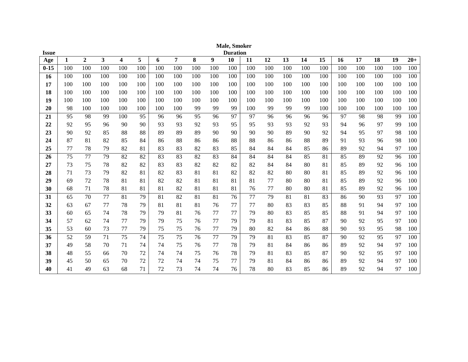| <b>Issue</b> |     |                |                         |                         |     |     |                |     |     | <b>Male, Smoker</b><br><b>Duration</b> |     |     |     |     |                 |     |     |     |     |       |
|--------------|-----|----------------|-------------------------|-------------------------|-----|-----|----------------|-----|-----|----------------------------------------|-----|-----|-----|-----|-----------------|-----|-----|-----|-----|-------|
| Age          | 1   | $\overline{2}$ | $\overline{\mathbf{3}}$ | $\overline{\mathbf{4}}$ | 5   | 6   | $\overline{7}$ | 8   | 9   | 10                                     | 11  | 12  | 13  | 14  | $\overline{15}$ | 16  | 17  | 18  | 19  | $20+$ |
| $0 - 15$     | 100 | 100            | 100                     | 100                     | 100 | 100 | 100            | 100 | 100 | 100                                    | 100 | 100 | 100 | 100 | 100             | 100 | 100 | 100 | 100 | 100   |
| 16           | 100 | 100            | 100                     | 100                     | 100 | 100 | 100            | 100 | 100 | 100                                    | 100 | 100 | 100 | 100 | 100             | 100 | 100 | 100 | 100 | 100   |
| 17           | 100 | 100            | 100                     | 100                     | 100 | 100 | 100            | 100 | 100 | 100                                    | 100 | 100 | 100 | 100 | 100             | 100 | 100 | 100 | 100 | 100   |
| 18           | 100 | 100            | 100                     | 100                     | 100 | 100 | 100            | 100 | 100 | 100                                    | 100 | 100 | 100 | 100 | 100             | 100 | 100 | 100 | 100 | 100   |
| 19           | 100 | 100            | 100                     | 100                     | 100 | 100 | 100            | 100 | 100 | 100                                    | 100 | 100 | 100 | 100 | 100             | 100 | 100 | 100 | 100 | 100   |
| 20           | 98  | 100            | 100                     | 100                     | 100 | 100 | 100            | 99  | 99  | 99                                     | 100 | 99  | 99  | 99  | 100             | 100 | 100 | 100 | 100 | 100   |
| 21           | 95  | 98             | 99                      | 100                     | 95  | 96  | 96             | 95  | 96  | 97                                     | 97  | 96  | 96  | 96  | 96              | 97  | 98  | 98  | 99  | 100   |
| 22           | 92  | 95             | 96                      | 90                      | 90  | 93  | 93             | 92  | 93  | 95                                     | 95  | 93  | 93  | 92  | 93              | 94  | 96  | 97  | 99  | 100   |
| 23           | 90  | 92             | 85                      | 88                      | 88  | 89  | 89             | 89  | 90  | 90                                     | 90  | 90  | 89  | 90  | 92              | 94  | 95  | 97  | 98  | 100   |
| 24           | 87  | 81             | 82                      | 85                      | 84  | 86  | 88             | 86  | 86  | 88                                     | 88  | 86  | 86  | 88  | 89              | 91  | 93  | 96  | 98  | 100   |
| 25           | 77  | 78             | 79                      | 82                      | 81  | 83  | 83             | 82  | 83  | 85                                     | 84  | 84  | 84  | 85  | 86              | 89  | 92  | 94  | 97  | 100   |
| 26           | 75  | 77             | 79                      | 82                      | 82  | 83  | 83             | 82  | 83  | 84                                     | 84  | 84  | 84  | 85  | 81              | 85  | 89  | 92  | 96  | 100   |
| 27           | 73  | 75             | 78                      | 82                      | 82  | 83  | 83             | 82  | 82  | 82                                     | 82  | 84  | 84  | 80  | 81              | 85  | 89  | 92  | 96  | 100   |
| 28           | 71  | 73             | 79                      | 82                      | 81  | 82  | 83             | 81  | 81  | 82                                     | 82  | 82  | 80  | 80  | 81              | 85  | 89  | 92  | 96  | 100   |
| 29           | 69  | 72             | 78                      | 81                      | 81  | 82  | 82             | 81  | 81  | 81                                     | 81  | 77  | 80  | 80  | 81              | 85  | 89  | 92  | 96  | 100   |
| 30           | 68  | 71             | 78                      | 81                      | 81  | 81  | 82             | 81  | 81  | 81                                     | 76  | 77  | 80  | 80  | 81              | 85  | 89  | 92  | 96  | 100   |
| 31           | 65  | 70             | 77                      | 81                      | 79  | 81  | 82             | 81  | 81  | 76                                     | 77  | 79  | 81  | 81  | 83              | 86  | 90  | 93  | 97  | 100   |
| 32           | 63  | 67             | 77                      | 78                      | 79  | 81  | 81             | 81  | 76  | 77                                     | 77  | 80  | 83  | 83  | 85              | 88  | 91  | 94  | 97  | 100   |
| 33           | 60  | 65             | 74                      | 78                      | 79  | 79  | 81             | 76  | 77  | 77                                     | 79  | 80  | 83  | 85  | 85              | 88  | 91  | 94  | 97  | 100   |
| 34           | 57  | 62             | 74                      | 77                      | 79  | 79  | 75             | 76  | 77  | 79                                     | 79  | 81  | 83  | 85  | 87              | 90  | 92  | 95  | 97  | 100   |
| 35           | 53  | 60             | 73                      | 77                      | 79  | 75  | 75             | 76  | 77  | 79                                     | 80  | 82  | 84  | 86  | 88              | 90  | 93  | 95  | 98  | 100   |
| 36           | 52  | 59             | 71                      | 75                      | 74  | 75  | 75             | 76  | 77  | 79                                     | 79  | 81  | 83  | 85  | 87              | 90  | 92  | 95  | 97  | 100   |
| 37           | 49  | 58             | 70                      | 71                      | 74  | 74  | 75             | 76  | 77  | 78                                     | 79  | 81  | 84  | 86  | 86              | 89  | 92  | 94  | 97  | 100   |
| 38           | 48  | 55             | 66                      | 70                      | 72  | 74  | 74             | 75  | 76  | 78                                     | 79  | 81  | 83  | 85  | 87              | 90  | 92  | 95  | 97  | 100   |
| 39           | 45  | 50             | 65                      | 70                      | 72  | 72  | 74             | 74  | 75  | 77                                     | 79  | 81  | 84  | 86  | 86              | 89  | 92  | 94  | 97  | 100   |
| 40           | 41  | 49             | 63                      | 68                      | 71  | 72  | 73             | 74  | 74  | 76                                     | 78  | 80  | 83  | 85  | 86              | 89  | 92  | 94  | 97  | 100   |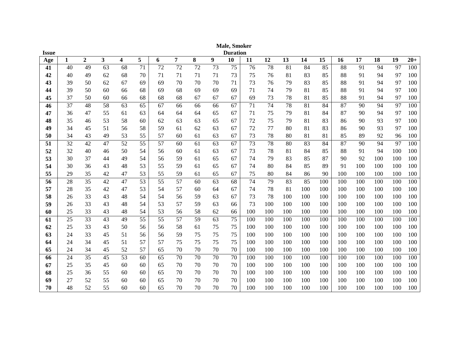|              |    |                |    |    |    |    |                |    |    | Male, Smoker    |     |     |     |     |     |     |     |     |     |       |
|--------------|----|----------------|----|----|----|----|----------------|----|----|-----------------|-----|-----|-----|-----|-----|-----|-----|-----|-----|-------|
| <b>Issue</b> |    |                |    |    |    |    |                |    |    | <b>Duration</b> |     |     |     |     |     |     |     |     |     |       |
| Age          | 1  | $\overline{2}$ | 3  | 4  | 5  | 6  | $\overline{7}$ | 8  | 9  | 10              | 11  | 12  | 13  | 14  | 15  | 16  | 17  | 18  | 19  | $20+$ |
| 41           | 40 | 49             | 63 | 68 | 71 | 72 | 72             | 72 | 73 | 75              | 76  | 78  | 81  | 84  | 85  | 88  | 91  | 94  | 97  | 100   |
| 42           | 40 | 49             | 62 | 68 | 70 | 71 | 71             | 71 | 71 | 73              | 75  | 76  | 81  | 83  | 85  | 88  | 91  | 94  | 97  | 100   |
| 43           | 39 | 50             | 62 | 67 | 69 | 69 | 70             | 70 | 70 | 71              | 73  | 76  | 79  | 83  | 85  | 88  | 91  | 94  | 97  | 100   |
| 44           | 39 | 50             | 60 | 66 | 68 | 69 | 68             | 69 | 69 | 69              | 71  | 74  | 79  | 81  | 85  | 88  | 91  | 94  | 97  | 100   |
| 45           | 37 | 50             | 60 | 66 | 68 | 68 | 68             | 67 | 67 | 67              | 69  | 73  | 78  | 81  | 85  | 88  | 91  | 94  | 97  | 100   |
| 46           | 37 | 48             | 58 | 63 | 65 | 67 | 66             | 66 | 66 | 67              | 71  | 74  | 78  | 81  | 84  | 87  | 90  | 94  | 97  | 100   |
| 47           | 36 | 47             | 55 | 61 | 63 | 64 | 64             | 64 | 65 | 67              | 71  | 75  | 79  | 81  | 84  | 87  | 90  | 94  | 97  | 100   |
| 48           | 35 | 46             | 53 | 58 | 60 | 62 | 63             | 63 | 65 | 67              | 72  | 75  | 79  | 81  | 83  | 86  | 90  | 93  | 97  | 100   |
| 49           | 34 | 45             | 51 | 56 | 58 | 59 | 61             | 62 | 63 | 67              | 72  | 77  | 80  | 81  | 83  | 86  | 90  | 93  | 97  | 100   |
| 50           | 34 | 43             | 49 | 53 | 55 | 57 | 60             | 61 | 63 | 67              | 73  | 78  | 80  | 81  | 81  | 85  | 89  | 92  | 96  | 100   |
| 51           | 32 | 42             | 47 | 52 | 55 | 57 | 60             | 61 | 63 | 67              | 73  | 78  | 80  | 83  | 84  | 87  | 90  | 94  | 97  | 100   |
| 52           | 32 | 40             | 46 | 50 | 54 | 56 | 60             | 61 | 63 | 67              | 73  | 78  | 81  | 84  | 85  | 88  | 91  | 94  | 100 | 100   |
| 53           | 30 | 37             | 44 | 49 | 54 | 56 | 59             | 61 | 65 | 67              | 74  | 79  | 83  | 85  | 87  | 90  | 92  | 100 | 100 | 100   |
| 54           | 30 | 36             | 43 | 48 | 53 | 55 | 59             | 61 | 65 | 67              | 74  | 80  | 84  | 85  | 89  | 91  | 100 | 100 | 100 | 100   |
| 55           | 29 | 35             | 42 | 47 | 53 | 55 | 59             | 61 | 65 | 67              | 75  | 80  | 84  | 86  | 90  | 100 | 100 | 100 | 100 | 100   |
| 56           | 28 | 35             | 42 | 47 | 53 | 55 | 57             | 60 | 63 | 68              | 74  | 79  | 83  | 85  | 100 | 100 | 100 | 100 | 100 | 100   |
| 57           | 28 | 35             | 42 | 47 | 53 | 54 | 57             | 60 | 64 | 67              | 74  | 78  | 81  | 100 | 100 | 100 | 100 | 100 | 100 | 100   |
| 58           | 26 | 33             | 43 | 48 | 54 | 54 | 56             | 59 | 63 | 67              | 73  | 78  | 100 | 100 | 100 | 100 | 100 | 100 | 100 | 100   |
| 59           | 26 | 33             | 43 | 48 | 54 | 53 | 57             | 59 | 63 | 66              | 73  | 100 | 100 | 100 | 100 | 100 | 100 | 100 | 100 | 100   |
| 60           | 25 | 33             | 43 | 48 | 54 | 53 | 56             | 58 | 62 | 66              | 100 | 100 | 100 | 100 | 100 | 100 | 100 | 100 | 100 | 100   |
| 61           | 25 | 33             | 43 | 49 | 55 | 55 | 57             | 59 | 63 | 75              | 100 | 100 | 100 | 100 | 100 | 100 | 100 | 100 | 100 | 100   |
| 62           | 25 | 33             | 43 | 50 | 56 | 56 | 58             | 61 | 75 | 75              | 100 | 100 | 100 | 100 | 100 | 100 | 100 | 100 | 100 | 100   |
| 63           | 24 | 33             | 45 | 51 | 56 | 56 | 59             | 75 | 75 | 75              | 100 | 100 | 100 | 100 | 100 | 100 | 100 | 100 | 100 | 100   |
| 64           | 24 | 34             | 45 | 51 | 57 | 57 | 75             | 75 | 75 | 75              | 100 | 100 | 100 | 100 | 100 | 100 | 100 | 100 | 100 | 100   |
| 65           | 24 | 34             | 45 | 52 | 57 | 65 | 70             | 70 | 70 | 70              | 100 | 100 | 100 | 100 | 100 | 100 | 100 | 100 | 100 | 100   |
| 66           | 24 | 35             | 45 | 53 | 60 | 65 | 70             | 70 | 70 | 70              | 100 | 100 | 100 | 100 | 100 | 100 | 100 | 100 | 100 | 100   |
| 67           | 25 | 35             | 45 | 60 | 60 | 65 | 70             | 70 | 70 | 70              | 100 | 100 | 100 | 100 | 100 | 100 | 100 | 100 | 100 | 100   |
| 68           | 25 | 36             | 55 | 60 | 60 | 65 | 70             | 70 | 70 | 70              | 100 | 100 | 100 | 100 | 100 | 100 | 100 | 100 | 100 | 100   |
| 69           | 27 | 52             | 55 | 60 | 60 | 65 | 70             | 70 | 70 | 70              | 100 | 100 | 100 | 100 | 100 | 100 | 100 | 100 | 100 | 100   |
| 70           | 48 | 52             | 55 | 60 | 60 | 65 | 70             | 70 | 70 | 70              | 100 | 100 | 100 | 100 | 100 | 100 | 100 | 100 | 100 | 100   |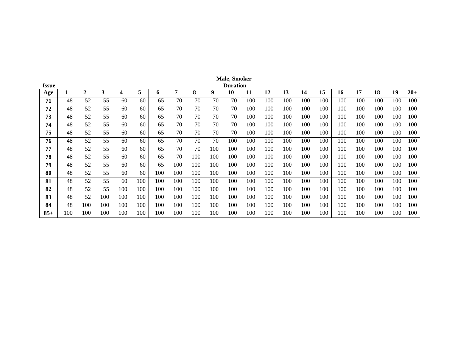|       |     |                  |     |     |     |     |     |     |     | <b>Male, Smoker</b> |     |     |     |     |     |     |     |     |     |       |
|-------|-----|------------------|-----|-----|-----|-----|-----|-----|-----|---------------------|-----|-----|-----|-----|-----|-----|-----|-----|-----|-------|
| Issue |     |                  |     |     |     |     |     |     |     | <b>Duration</b>     |     |     |     |     |     |     |     |     |     |       |
| Age   | T.  | $\boldsymbol{2}$ | 3   | 4   | 5   | 6   | 7   | 8   | 9   | 10                  | 11  | 12  | 13  | 14  | 15  | 16  | 17  | 18  | 19  | $20+$ |
| 71    | 48  | 52               | 55  | 60  | 60  | 65  | 70  | 70  | 70  | 70                  | 100 | 100 | 100 | 100 | 100 | 100 | 100 | 100 | 100 | 100   |
| 72    | 48  | 52               | 55  | 60  | 60  | 65  | 70  | 70  | 70  | 70                  | 100 | 100 | 100 | 100 | 100 | 100 | 100 | 100 | 100 | 100   |
| 73    | 48  | 52               | 55  | 60  | 60  | 65  | 70  | 70  | 70  | 70                  | 100 | 100 | 100 | 100 | 100 | 100 | 100 | 100 | 100 | 100   |
| 74    | 48  | 52               | 55  | 60  | 60  | 65  | 70  | 70  | 70  | 70                  | 100 | 100 | 100 | 100 | 100 | 100 | 100 | 100 | 100 | 100   |
| 75    | 48  | 52               | 55  | 60  | 60  | 65  | 70  | 70  | 70  | 70                  | 100 | 100 | 100 | 100 | 100 | 100 | 100 | 100 | 100 | 100   |
| 76    | 48  | 52               | 55  | 60  | 60  | 65  | 70  | 70  | 70  | 100                 | 100 | 100 | 100 | 100 | 100 | 100 | 100 | 100 | 100 | 100   |
| 77    | 48  | 52               | 55  | 60  | 60  | 65  | 70  | 70  | 100 | 100                 | 100 | 100 | 100 | 100 | 100 | 100 | 100 | 100 | 100 | 100   |
| 78    | 48  | 52               | 55  | 60  | 60  | 65  | 70  | 100 | 100 | 100                 | 100 | 100 | 100 | 100 | 100 | 100 | 100 | 100 | 100 | 100   |
| 79    | 48  | 52               | 55  | 60  | 60  | 65  | 100 | 100 | 100 | 100                 | 100 | 100 | 100 | 100 | 100 | 100 | 100 | 100 | 100 | 100   |
| 80    | 48  | 52               | 55  | 60  | 60  | 100 | 100 | 100 | 100 | 100                 | 100 | 100 | 100 | 100 | 100 | 100 | 100 | 100 | 100 | 100   |
| 81    | 48  | 52               | 55  | 60  | 100 | 100 | 100 | 100 | 100 | 100                 | 100 | 100 | 100 | 100 | 100 | 100 | 100 | 100 | 100 | 100   |
| 82    | 48  | 52               | 55  | 100 | 100 | 100 | 100 | 100 | 100 | 100                 | 100 | 100 | 100 | 100 | 100 | 100 | 100 | 100 | 100 | 100   |
| 83    | 48  | 52               | 100 | 100 | 100 | 100 | 100 | 100 | 100 | 100                 | 100 | 100 | 100 | 100 | 100 | 100 | 100 | 100 | 100 | 100   |
| 84    | 48  | 100              | 100 | 100 | 100 | 100 | 100 | 100 | 100 | 100                 | 100 | 100 | 100 | 100 | 100 | 100 | 100 | 100 | 100 | 100   |
| $85+$ | 100 | 100              | 100 | 100 | 100 | 100 | 100 | 100 | 100 | 100                 | 100 | 100 | 100 | 100 | 100 | 100 | 100 | 100 | 100 | 100   |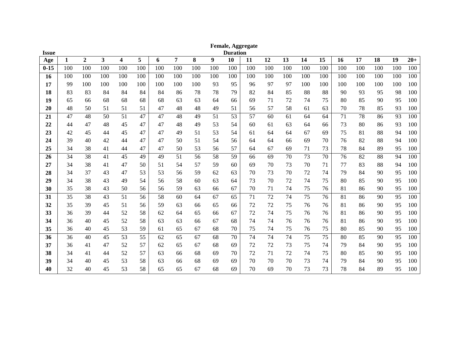|              |              |                |                         |     |     |     |                |     |     |                 | Female, Aggregate |     |     |     |                 |     |                 |     |     |       |
|--------------|--------------|----------------|-------------------------|-----|-----|-----|----------------|-----|-----|-----------------|-------------------|-----|-----|-----|-----------------|-----|-----------------|-----|-----|-------|
| <b>Issue</b> |              |                | $\overline{\mathbf{3}}$ |     | 5   |     | $\overline{7}$ |     |     | <b>Duration</b> |                   |     | 13  | 14  | $\overline{15}$ |     | $\overline{17}$ | 18  |     |       |
| Age          | $\mathbf{1}$ | $\overline{2}$ |                         | 4   |     | 6   |                | 8   | 9   | 10              | 11                | 12  |     |     |                 | 16  |                 |     | 19  | $20+$ |
| $0 - 15$     | 100          | 100            | 100                     | 100 | 100 | 100 | 100            | 100 | 100 | 100             | 100               | 100 | 100 | 100 | 100             | 100 | 100             | 100 | 100 | 100   |
| 16           | 100          | 100            | 100                     | 100 | 100 | 100 | 100            | 100 | 100 | 100             | 100               | 100 | 100 | 100 | 100             | 100 | 100             | 100 | 100 | 100   |
| 17           | 99           | 100            | 100                     | 100 | 100 | 100 | 100            | 100 | 93  | 95              | 96                | 97  | 97  | 100 | 100             | 100 | 100             | 100 | 100 | 100   |
| 18           | 83           | 83             | 84                      | 84  | 84  | 84  | 86             | 78  | 78  | 79              | 82                | 84  | 85  | 88  | 88              | 90  | 93              | 95  | 98  | 100   |
| 19           | 65           | 66             | 68                      | 68  | 68  | 68  | 63             | 63  | 64  | 66              | 69                | 71  | 72  | 74  | 75              | 80  | 85              | 90  | 95  | 100   |
| 20           | 48           | 50             | 51                      | 51  | 51  | 47  | 48             | 48  | 49  | 51              | 56                | 57  | 58  | 61  | 63              | 70  | 78              | 85  | 93  | 100   |
| 21           | 47           | 48             | 50                      | 51  | 47  | 47  | 48             | 49  | 51  | 53              | 57                | 60  | 61  | 64  | 64              | 71  | 78              | 86  | 93  | 100   |
| 22           | 44           | 47             | 48                      | 45  | 47  | 47  | 48             | 49  | 53  | 54              | 60                | 61  | 63  | 64  | 66              | 73  | 80              | 86  | 93  | 100   |
| 23           | 42           | 45             | 44                      | 45  | 47  | 47  | 49             | 51  | 53  | 54              | 61                | 64  | 64  | 67  | 69              | 75  | 81              | 88  | 94  | 100   |
| 24           | 39           | 40             | 42                      | 44  | 47  | 47  | 50             | 51  | 54  | 56              | 64                | 64  | 66  | 69  | 70              | 76  | 82              | 88  | 94  | 100   |
| 25           | 34           | 38             | 41                      | 44  | 47  | 47  | 50             | 53  | 56  | 57              | 64                | 67  | 69  | 71  | 73              | 78  | 84              | 89  | 95  | 100   |
| 26           | 34           | 38             | 41                      | 45  | 49  | 49  | 51             | 56  | 58  | 59              | 66                | 69  | 70  | 73  | 70              | 76  | 82              | 88  | 94  | 100   |
| 27           | 34           | 38             | 41                      | 47  | 50  | 51  | 54             | 57  | 59  | 60              | 69                | 70  | 73  | 70  | 71              | 77  | 83              | 88  | 94  | 100   |
| 28           | 34           | 37             | 43                      | 47  | 53  | 53  | 56             | 59  | 62  | 63              | 70                | 73  | 70  | 72  | 74              | 79  | 84              | 90  | 95  | 100   |
| 29           | 34           | 38             | 43                      | 49  | 54  | 56  | 58             | 60  | 63  | 64              | 73                | 70  | 72  | 74  | 75              | 80  | 85              | 90  | 95  | 100   |
| 30           | 35           | 38             | 43                      | 50  | 56  | 56  | 59             | 63  | 66  | 67              | 70                | 71  | 74  | 75  | 76              | 81  | 86              | 90  | 95  | 100   |
| 31           | 35           | 38             | 43                      | 51  | 56  | 58  | 60             | 64  | 67  | 65              | 71                | 72  | 74  | 75  | 76              | 81  | 86              | 90  | 95  | 100   |
| 32           | 35           | 39             | 45                      | 51  | 56  | 59  | 63             | 66  | 65  | 66              | 72                | 72  | 75  | 76  | 76              | 81  | 86              | 90  | 95  | 100   |
| 33           | 36           | 39             | 44                      | 52  | 58  | 62  | 64             | 65  | 66  | 67              | 72                | 74  | 75  | 76  | 76              | 81  | 86              | 90  | 95  | 100   |
| 34           | 36           | 40             | 45                      | 52  | 58  | 63  | 63             | 66  | 67  | 68              | 74                | 74  | 76  | 76  | 76              | 81  | 86              | 90  | 95  | 100   |
| 35           | 36           | 40             | 45                      | 53  | 59  | 61  | 65             | 67  | 68  | 70              | 75                | 74  | 75  | 76  | 75              | 80  | 85              | 90  | 95  | 100   |
| 36           | 36           | 40             | 45                      | 53  | 55  | 62  | 65             | 67  | 68  | 70              | 74                | 74  | 74  | 75  | 75              | 80  | 85              | 90  | 95  | 100   |
| 37           | 36           | 41             | 47                      | 52  | 57  | 62  | 65             | 67  | 68  | 69              | 72                | 72  | 73  | 75  | 74              | 79  | 84              | 90  | 95  | 100   |
| 38           | 34           | 41             | 44                      | 52  | 57  | 63  | 66             | 68  | 69  | 70              | 72                | 71  | 72  | 74  | 75              | 80  | 85              | 90  | 95  | 100   |
| 39           | 34           | 40             | 45                      | 53  | 58  | 63  | 66             | 68  | 69  | 69              | 70                | 70  | 70  | 73  | 74              | 79  | 84              | 90  | 95  | 100   |
| 40           | 32           | 40             | 45                      | 53  | 58  | 65  | 65             | 67  | 68  | 69              | 70                | 69  | 70  | 73  | 73              | 78  | 84              | 89  | 95  | 100   |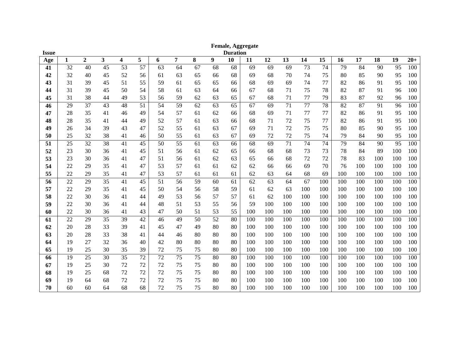|              |    |              |    |    |    |    |                |                 |    |                 | <b>Female, Aggregate</b> |     |     |     |     |     |     |     |     |       |
|--------------|----|--------------|----|----|----|----|----------------|-----------------|----|-----------------|--------------------------|-----|-----|-----|-----|-----|-----|-----|-----|-------|
| <b>Issue</b> |    |              |    |    |    |    |                |                 |    | <b>Duration</b> |                          |     |     |     |     |     |     |     |     |       |
| Age          | 1  | $\mathbf{2}$ | 3  | 4  | 5  | 6  | $\overline{7}$ | 8               | 9  | 10              | 11                       | 12  | 13  | 14  | 15  | 16  | 17  | 18  | 19  | $20+$ |
| 41           | 32 | 40           | 45 | 53 | 57 | 63 | 64             | 67              | 68 | 68              | 69                       | 69  | 69  | 73  | 74  | 79  | 84  | 90  | 95  | 100   |
| 42           | 32 | 40           | 45 | 52 | 56 | 61 | 63             | 65              | 66 | 68              | 69                       | 68  | 70  | 74  | 75  | 80  | 85  | 90  | 95  | 100   |
| 43           | 31 | 39           | 45 | 51 | 55 | 59 | 61             | 65              | 65 | 66              | 68                       | 69  | 69  | 74  | 77  | 82  | 86  | 91  | 95  | 100   |
| 44           | 31 | 39           | 45 | 50 | 54 | 58 | 61             | 63              | 64 | 66              | 67                       | 68  | 71  | 75  | 78  | 82  | 87  | 91  | 96  | 100   |
| 45           | 31 | 38           | 44 | 49 | 53 | 56 | 59             | 62              | 63 | 65              | 67                       | 68  | 71  | 77  | 79  | 83  | 87  | 92  | 96  | 100   |
| 46           | 29 | 37           | 43 | 48 | 51 | 54 | 59             | 62              | 63 | 65              | 67                       | 69  | 71  | 77  | 78  | 82  | 87  | 91  | 96  | 100   |
| 47           | 28 | 35           | 41 | 46 | 49 | 54 | 57             | 61              | 62 | 66              | 68                       | 69  | 71  | 77  | 77  | 82  | 86  | 91  | 95  | 100   |
| 48           | 28 | 35           | 41 | 44 | 49 | 52 | 57             | 61              | 63 | 66              | 68                       | 71  | 72  | 75  | 77  | 82  | 86  | 91  | 95  | 100   |
| 49           | 26 | 34           | 39 | 43 | 47 | 52 | 55             | 61              | 63 | 67              | 69                       | 71  | 72  | 75  | 75  | 80  | 85  | 90  | 95  | 100   |
| 50           | 25 | 32           | 38 | 41 | 46 | 50 | 55             | 61              | 63 | 67              | 69                       | 72  | 72  | 75  | 74  | 79  | 84  | 90  | 95  | 100   |
| 51           | 25 | 32           | 38 | 41 | 45 | 50 | 55             | 61              | 63 | 66              | 68                       | 69  | 71  | 74  | 74  | 79  | 84  | 90  | 95  | 100   |
| 52           | 23 | 30           | 36 | 41 | 45 | 51 | 56             | 61              | 62 | 65              | 66                       | 68  | 68  | 73  | 73  | 78  | 84  | 89  | 100 | 100   |
| 53           | 23 | 30           | 36 | 41 | 47 | 51 | 56             | 61              | 62 | 63              | 65                       | 66  | 68  | 72  | 72  | 78  | 83  | 100 | 100 | 100   |
| 54           | 22 | 29           | 35 | 41 | 47 | 53 | 57             | 61              | 61 | 62              | 62                       | 66  | 66  | 69  | 70  | 76  | 100 | 100 | 100 | 100   |
| 55           | 22 | 29           | 35 | 41 | 47 | 53 | 57             | 61              | 61 | 61              | 62                       | 63  | 64  | 68  | 69  | 100 | 100 | 100 | 100 | 100   |
| 56           | 22 | 29           | 35 | 41 | 45 | 51 | 56             | 59              | 60 | 61              | 62                       | 63  | 64  | 67  | 100 | 100 | 100 | 100 | 100 | 100   |
| 57           | 22 | 29           | 35 | 41 | 45 | 50 | 54             | 56              | 58 | 59              | 61                       | 62  | 63  | 100 | 100 | 100 | 100 | 100 | 100 | 100   |
| 58           | 22 | 30           | 36 | 41 | 44 | 49 | 53             | 56              | 57 | 57              | 61                       | 62  | 100 | 100 | 100 | 100 | 100 | 100 | 100 | 100   |
| 59           | 22 | 30           | 36 | 41 | 44 | 48 | 51             | 53              | 55 | 56              | 59                       | 100 | 100 | 100 | 100 | 100 | 100 | 100 | 100 | 100   |
| 60           | 22 | 30           | 36 | 41 | 43 | 47 | 50             | 51              | 53 | 55              | 100                      | 100 | 100 | 100 | 100 | 100 | 100 | 100 | 100 | 100   |
| 61           | 22 | 29           | 35 | 39 | 42 | 46 | 49             | 50              | 52 | 80              | 100                      | 100 | 100 | 100 | 100 | 100 | 100 | 100 | 100 | 100   |
| 62           | 20 | 28           | 33 | 39 | 41 | 45 | 47             | 49              | 80 | 80              | 100                      | 100 | 100 | 100 | 100 | 100 | 100 | 100 | 100 | 100   |
| 63           | 20 | 28           | 33 | 38 | 41 | 44 | 46             | 80              | 80 | 80              | 100                      | 100 | 100 | 100 | 100 | 100 | 100 | 100 | 100 | 100   |
| 64           | 19 | 27           | 32 | 36 | 40 | 42 | 80             | 80              | 80 | 80              | 100                      | 100 | 100 | 100 | 100 | 100 | 100 | 100 | 100 | 100   |
| 65           | 19 | 25           | 30 | 35 | 39 | 72 | 75             | 75              | 80 | 80              | 100                      | 100 | 100 | 100 | 100 | 100 | 100 | 100 | 100 | 100   |
| 66           | 19 | 25           | 30 | 35 | 72 | 72 | 75             | $\overline{75}$ | 80 | 80              | 100                      | 100 | 100 | 100 | 100 | 100 | 100 | 100 | 100 | 100   |
| 67           | 19 | 25           | 30 | 72 | 72 | 72 | 75             | 75              | 80 | 80              | 100                      | 100 | 100 | 100 | 100 | 100 | 100 | 100 | 100 | 100   |
| 68           | 19 | 25           | 68 | 72 | 72 | 72 | 75             | 75              | 80 | 80              | 100                      | 100 | 100 | 100 | 100 | 100 | 100 | 100 | 100 | 100   |
| 69           | 19 | 64           | 68 | 72 | 72 | 72 | 75             | 75              | 80 | 80              | 100                      | 100 | 100 | 100 | 100 | 100 | 100 | 100 | 100 | 100   |
| 70           | 60 | 60           | 64 | 68 | 68 | 72 | 75             | 75              | 80 | 80              | 100                      | 100 | 100 | 100 | 100 | 100 | 100 | 100 | 100 | 100   |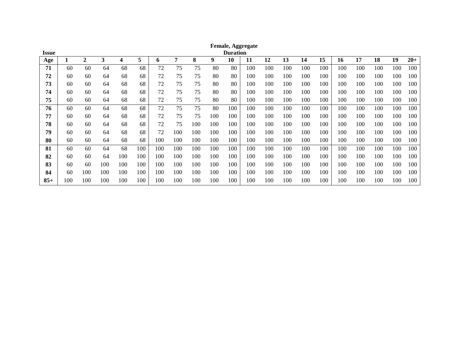| <b>Issue</b> |     |              |     |     |     |     |     |     |     | <b>Duration</b> | <b>Female, Aggregate</b> |     |     |     |     |     |     |     |     |       |
|--------------|-----|--------------|-----|-----|-----|-----|-----|-----|-----|-----------------|--------------------------|-----|-----|-----|-----|-----|-----|-----|-----|-------|
| Age          |     | $\mathbf{2}$ | 3   | 4   | 5   | o   | 7   | 8   | 9   | 10              | 11                       | 12  | 13  | 14  | 15  | 16  | 17  | 18  | 19  | $20+$ |
| 71           | 60  | 60           | 64  | 68  | 68  | 72  | 75  | 75  | 80  | 80              | 100                      | 100 | 100 | 100 | 100 | 100 | 100 | 100 | 100 | 100   |
| 72           | 60  | 60           | 64  | 68  | 68  | 72  | 75  | 75  | 80  | 80              | 100                      | 100 | 100 | 100 | 100 | 100 | 100 | 100 | 100 | 100   |
| 73           | 60  | 60           | 64  | 68  | 68  | 72  | 75  | 75  | 80  | 80              | 100                      | 100 | 100 | 100 | 100 | 100 | 100 | 100 | 100 | 100   |
| 74           | 60  | 60           | 64  | 68  | 68  | 72  | 75  | 75  | 80  | 80              | 100                      | 100 | 100 | 100 | 100 | 100 | 100 | 100 | 100 | 100   |
| 75           | 60  | 60           | 64  | 68  | 68  | 72  | 75  | 75  | 80  | 80              | 100                      | 100 | 100 | 100 | 100 | 100 | 100 | 100 | 100 | 100   |
| 76           | 60  | 60           | 64  | 68  | 68  | 72  | 75  | 75  | 80  | 100             | 100                      | 100 | 100 | 100 | 100 | 100 | 100 | 100 | 100 | 100   |
| 77           | 60  | 60           | 64  | 68  | 68  | 72  | 75  | 75  | 100 | 100             | 100                      | 100 | 100 | 100 | 100 | 100 | 100 | 100 | 100 | 100   |
| 78           | 60  | 60           | 64  | 68  | 68  | 72  | 75  | 100 | 100 | 100             | 100                      | 100 | 100 | 100 | 100 | 100 | 100 | 100 | 100 | 100   |
| 79           | 60  | 60           | 64  | 68  | 68  | 72  | 100 | 100 | 100 | 100             | 100                      | 100 | 100 | 100 | 100 | 100 | 100 | 100 | 100 | 100   |
| 80           | 60  | 60           | 64  | 68  | 68  | 100 | 100 | 100 | 100 | 100             | 100                      | 100 | 100 | 100 | 100 | 100 | 100 | 100 | 100 | 100   |
| 81           | 60  | 60           | 64  | 68  | 100 | 100 | 100 | 100 | 100 | 100             | 100                      | 100 | 100 | 100 | 100 | 100 | 100 | 100 | 100 | 100   |
| 82           | 60  | 60           | 64  | 100 | 100 | 100 | 100 | 100 | 100 | 100             | 100                      | 100 | 100 | 100 | 100 | 100 | 100 | 100 | 100 | 100   |
| 83           | 60  | 60           | 100 | 100 | 100 | 100 | 100 | 100 | 100 | 100             | 100                      | 100 | 100 | 100 | 100 | 100 | 100 | 100 | 100 | 100   |
| 84           | 60  | 100          | 100 | 100 | 100 | 100 | 100 | 100 | 100 | 100             | 100                      | 100 | 100 | 100 | 100 | 100 | 100 | 100 | 100 | 100   |
| $85+$        | 100 | 100          | 100 | 100 | 100 | 100 | 100 | 100 | 100 | 100             | 100                      | 100 | 100 | 100 | 100 | 100 | 100 | 100 | 100 | 100   |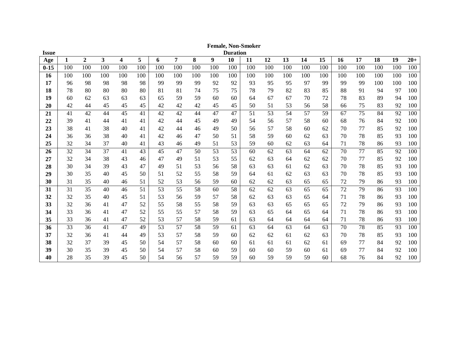| <b>Issue</b> |     |                |     |     |     |     |     |     |     | <b>Duration</b> |     |     |     |     |     |     |     |     |     |       |
|--------------|-----|----------------|-----|-----|-----|-----|-----|-----|-----|-----------------|-----|-----|-----|-----|-----|-----|-----|-----|-----|-------|
| Age          | 1   | $\overline{2}$ | 3   | 4   | 5   | 6   | 7   | 8   | 9   | 10              | 11  | 12  | 13  | 14  | 15  | 16  | 17  | 18  | 19  | $20+$ |
| $0 - 15$     | 100 | 100            | 100 | 100 | 100 | 100 | 100 | 100 | 100 | 100             | 100 | 100 | 100 | 100 | 100 | 100 | 100 | 100 | 100 | 100   |
| <b>16</b>    | 100 | 100            | 100 | 100 | 100 | 100 | 100 | 100 | 100 | 100             | 100 | 100 | 100 | 100 | 100 | 100 | 100 | 100 | 100 | 100   |
| 17           | 96  | 98             | 98  | 98  | 98  | 99  | 99  | 99  | 92  | 92              | 93  | 95  | 95  | 97  | 99  | 99  | 99  | 100 | 100 | 100   |
| 18           | 78  | 80             | 80  | 80  | 80  | 81  | 81  | 74  | 75  | 75              | 78  | 79  | 82  | 83  | 85  | 88  | 91  | 94  | 97  | 100   |
| 19           | 60  | 62             | 63  | 63  | 63  | 65  | 59  | 59  | 60  | 60              | 64  | 67  | 67  | 70  | 72  | 78  | 83  | 89  | 94  | 100   |
| 20           | 42  | 44             | 45  | 45  | 45  | 42  | 42  | 42  | 45  | 45              | 50  | 51  | 53  | 56  | 58  | 66  | 75  | 83  | 92  | 100   |
| 21           | 41  | 42             | 44  | 45  | 41  | 42  | 42  | 44  | 47  | 47              | 51  | 53  | 54  | 57  | 59  | 67  | 75  | 84  | 92  | 100   |
| 22           | 39  | 41             | 44  | 41  | 41  | 42  | 44  | 45  | 49  | 49              | 54  | 56  | 57  | 58  | 60  | 68  | 76  | 84  | 92  | 100   |
| 23           | 38  | 41             | 38  | 40  | 41  | 42  | 44  | 46  | 49  | 50              | 56  | 57  | 58  | 60  | 62  | 70  | 77  | 85  | 92  | 100   |
| 24           | 36  | 36             | 38  | 40  | 41  | 42  | 46  | 47  | 50  | 51              | 58  | 59  | 60  | 62  | 63  | 70  | 78  | 85  | 93  | 100   |
| 25           | 32  | 34             | 37  | 40  | 41  | 43  | 46  | 49  | 51  | 53              | 59  | 60  | 62  | 63  | 64  | 71  | 78  | 86  | 93  | 100   |
| 26           | 32  | 34             | 37  | 41  | 43  | 45  | 47  | 50  | 53  | 53              | 60  | 62  | 63  | 64  | 62  | 70  | 77  | 85  | 92  | 100   |
| 27           | 32  | 34             | 38  | 43  | 46  | 47  | 49  | 51  | 53  | 55              | 62  | 63  | 64  | 62  | 62  | 70  | 77  | 85  | 92  | 100   |
| 28           | 30  | 34             | 39  | 43  | 47  | 49  | 51  | 53  | 56  | 58              | 63  | 63  | 61  | 62  | 63  | 70  | 78  | 85  | 93  | 100   |
| 29           | 30  | 35             | 40  | 45  | 50  | 51  | 52  | 55  | 58  | 59              | 64  | 61  | 62  | 63  | 63  | 70  | 78  | 85  | 93  | 100   |
| 30           | 31  | 35             | 40  | 46  | 51  | 52  | 53  | 56  | 59  | 60              | 62  | 62  | 63  | 65  | 65  | 72  | 79  | 86  | 93  | 100   |
| 31           | 31  | 35             | 40  | 46  | 51  | 53  | 55  | 58  | 60  | 58              | 62  | 62  | 63  | 65  | 65  | 72  | 79  | 86  | 93  | 100   |
| 32           | 32  | 35             | 40  | 45  | 51  | 53  | 56  | 59  | 57  | 58              | 62  | 63  | 63  | 65  | 64  | 71  | 78  | 86  | 93  | 100   |
| 33           | 32  | 36             | 41  | 47  | 52  | 55  | 58  | 55  | 58  | 59              | 63  | 63  | 65  | 65  | 65  | 72  | 79  | 86  | 93  | 100   |
| 34           | 33  | 36             | 41  | 47  | 52  | 55  | 55  | 57  | 58  | 59              | 63  | 65  | 64  | 65  | 64  | 71  | 78  | 86  | 93  | 100   |
| 35           | 33  | 36             | 41  | 47  | 52  | 53  | 57  | 58  | 59  | 61              | 63  | 64  | 64  | 64  | 64  | 71  | 78  | 86  | 93  | 100   |
| 36           | 33  | 36             | 41  | 47  | 49  | 53  | 57  | 58  | 59  | 61              | 63  | 64  | 63  | 64  | 63  | 70  | 78  | 85  | 93  | 100   |
| 37           | 32  | 36             | 41  | 44  | 49  | 53  | 57  | 58  | 59  | 60              | 62  | 62  | 61  | 62  | 63  | 70  | 78  | 85  | 93  | 100   |
| 38           | 32  | 37             | 39  | 45  | 50  | 54  | 57  | 58  | 60  | 60              | 61  | 61  | 61  | 62  | 61  | 69  | 77  | 84  | 92  | 100   |
| 39           | 30  | 35             | 39  | 45  | 50  | 54  | 57  | 58  | 60  | 59              | 60  | 60  | 59  | 60  | 61  | 69  | 77  | 84  | 92  | 100   |
| 40           | 28  | 35             | 39  | 45  | 50  | 54  | 56  | 57  | 59  | 59              | 60  | 59  | 59  | 59  | 60  | 68  | 76  | 84  | 92  | 100   |

**Female, Non -Smoker**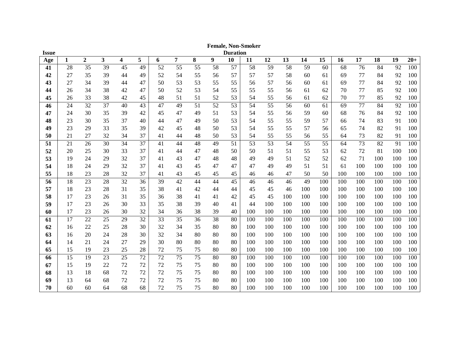| <b>Issue</b> |              |                |                         |    |        |    |                |    |    | <b>Duration</b> |     |     |     |     |     |     |     |     |     |       |
|--------------|--------------|----------------|-------------------------|----|--------|----|----------------|----|----|-----------------|-----|-----|-----|-----|-----|-----|-----|-----|-----|-------|
| Age          | $\mathbf{1}$ | $\overline{2}$ | $\overline{\mathbf{3}}$ | 4  | 5      | 6  | $\overline{7}$ | 8  | 9  | 10              | 11  | 12  | 13  | 14  | 15  | 16  | 17  | 18  | 19  | $20+$ |
| 41           | 28           | 35             | 39                      | 45 | 49     | 52 | 55             | 55 | 58 | 57              | 58  | 59  | 58  | 59  | 60  | 68  | 76  | 84  | 92  | 100   |
| 42           | 27           | 35             | 39                      | 44 | 49     | 52 | 54             | 55 | 56 | 57              | 57  | 57  | 58  | 60  | 61  | 69  | 77  | 84  | 92  | 100   |
| 43           | 27           | 34             | 39                      | 44 | 47     | 50 | 53             | 53 | 55 | 55              | 56  | 57  | 56  | 60  | 61  | 69  | 77  | 84  | 92  | 100   |
| 44           | 26           | 34             | 38                      | 42 | 47     | 50 | 52             | 53 | 54 | 55              | 55  | 55  | 56  | 61  | 62  | 70  | 77  | 85  | 92  | 100   |
| 45           | 26           | 33             | 38                      | 42 | 45     | 48 | 51             | 51 | 52 | 53              | 54  | 55  | 56  | 61  | 62  | 70  | 77  | 85  | 92  | 100   |
| 46           | 24           | 32             | 37                      | 40 | 43     | 47 | 49             | 51 | 52 | 53              | 54  | 55  | 56  | 60  | 61  | 69  | 77  | 84  | 92  | 100   |
| 47           | 24           | 30             | 35                      | 39 | 42     | 45 | 47             | 49 | 51 | 53              | 54  | 55  | 56  | 59  | 60  | 68  | 76  | 84  | 92  | 100   |
| 48           | 23           | 30             | 35                      | 37 | 40     | 44 | 47             | 49 | 50 | 53              | 54  | 55  | 55  | 59  | 57  | 66  | 74  | 83  | 91  | 100   |
| 49           | 23           | 29             | 33                      | 35 | 39     | 42 | 45             | 48 | 50 | 53              | 54  | 55  | 55  | 57  | 56  | 65  | 74  | 82  | 91  | 100   |
| 50           | 21           | 27             | 32                      | 34 | 37     | 41 | 44             | 48 | 50 | 53              | 54  | 55  | 55  | 56  | 55  | 64  | 73  | 82  | 91  | 100   |
| 51           | 21           | 26             | 30                      | 34 | 37     | 41 | 44             | 48 | 49 | 51              | 53  | 53  | 54  | 55  | 55  | 64  | 73  | 82  | 91  | 100   |
| 52           | 20           | 25             | 30                      | 33 | 37     | 41 | 44             | 47 | 48 | 50              | 50  | 51  | 51  | 55  | 53  | 62  | 72  | 81  | 100 | 100   |
| 53           | 19           | 24             | 29                      | 32 | 37     | 41 | 43             | 47 | 48 | 48              | 49  | 49  | 51  | 52  | 52  | 62  | 71  | 100 | 100 | 100   |
| 54           | 18           | 24             | 29                      | 32 | 37     | 41 | 43             | 45 | 47 | 47              | 47  | 49  | 49  | 51  | 51  | 61  | 100 | 100 | 100 | 100   |
| 55           | 18           | 23             | 28                      | 32 | 37     | 41 | 43             | 45 | 45 | 45              | 46  | 46  | 47  | 50  | 50  | 100 | 100 | 100 | 100 | 100   |
| 56           | 18           | 23             | 28                      | 32 | 36     | 39 | 42             | 44 | 44 | 45              | 46  | 46  | 46  | 49  | 100 | 100 | 100 | 100 | 100 | 100   |
| 57           | 18           | 23             | 28                      | 31 | 35     | 38 | 41             | 42 | 44 | 44              | 45  | 45  | 46  | 100 | 100 | 100 | 100 | 100 | 100 | 100   |
| 58           | 17           | 23             | 26                      | 31 | 35     | 36 | 38             | 41 | 41 | 42              | 45  | 45  | 100 | 100 | 100 | 100 | 100 | 100 | 100 | 100   |
| 59           | 17           | 23             | 26                      | 30 | 33     | 35 | 38             | 39 | 40 | 41              | 44  | 100 | 100 | 100 | 100 | 100 | 100 | 100 | 100 | 100   |
| 60           | 17           | 23             | 26                      | 30 | 32     | 34 | 36             | 38 | 39 | 40              | 100 | 100 | 100 | 100 | 100 | 100 | 100 | 100 | 100 | 100   |
| 61           | 17           | 22             | 25                      | 29 | 32     | 33 | 35             | 36 | 38 | 80              | 100 | 100 | 100 | 100 | 100 | 100 | 100 | 100 | 100 | 100   |
| 62           | 16           | 22             | 25                      | 28 | 30     | 32 | 34             | 35 | 80 | 80              | 100 | 100 | 100 | 100 | 100 | 100 | 100 | 100 | 100 | 100   |
| 63           | 16           | 20             | 24                      | 28 | 30     | 32 | 34             | 80 | 80 | 80              | 100 | 100 | 100 | 100 | 100 | 100 | 100 | 100 | 100 | 100   |
| 64           | 14           | 21             | 24                      | 27 | 29     | 30 | 80             | 80 | 80 | 80              | 100 | 100 | 100 | 100 | 100 | 100 | 100 | 100 | 100 | 100   |
| 65           | 15           | 19             | 23                      | 25 | 28     | 72 | 75             | 75 | 80 | 80              | 100 | 100 | 100 | 100 | 100 | 100 | 100 | 100 | 100 | 100   |
| 66           | 15           | 19             | 23                      | 25 | 72     | 72 | 75             | 75 | 80 | 80              | 100 | 100 | 100 | 100 | 100 | 100 | 100 | 100 | 100 | 100   |
| 67           | 15           | 19             | 22                      | 72 | 72     | 72 | 75             | 75 | 80 | 80              | 100 | 100 | 100 | 100 | 100 | 100 | 100 | 100 | 100 | 100   |
| 68           | 13           | 18             | 68                      | 72 | 72     | 72 | 75             | 75 | 80 | 80              | 100 | 100 | 100 | 100 | 100 | 100 | 100 | 100 | 100 | 100   |
| 69           | 13           | 64             | 68                      | 72 | $72\,$ | 72 | 75             | 75 | 80 | 80              | 100 | 100 | 100 | 100 | 100 | 100 | 100 | 100 | 100 | 100   |
| 70           | 60           | 60             | 64                      | 68 | 68     | 72 | 75             | 75 | 80 | 80              | 100 | 100 | 100 | 100 | 100 | 100 | 100 | 100 | 100 | 100   |

**Female, Non -Smoker**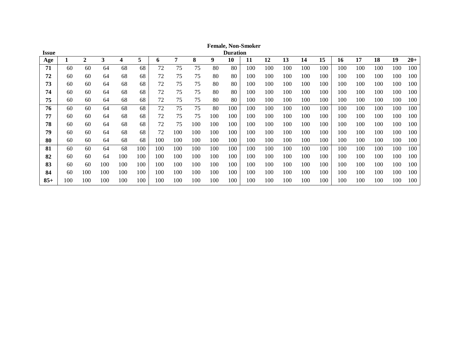| Issue |     |     |     |     |     |     |     |     |     | <b>Duration</b> |     |     |     |     |     |     |     |     |     |       |
|-------|-----|-----|-----|-----|-----|-----|-----|-----|-----|-----------------|-----|-----|-----|-----|-----|-----|-----|-----|-----|-------|
| Age   |     | 2   | 3   | 4   | 5   | 6   | 7   | 8   | 9   | 10              | 11  | 12  | 13  | 14  | 15  | 16  | 17  | 18  | 19  | $20+$ |
| 71    | 60  | 60  | 64  | 68  | 68  | 72  | 75  | 75  | 80  | 80              | 100 | 100 | 100 | 100 | 100 | 100 | 100 | 100 | 100 | 100   |
| 72    | 60  | 60  | 64  | 68  | 68  | 72  | 75  | 75  | 80  | 80              | 100 | 100 | 100 | 100 | 100 | 100 | 100 | 100 | 100 | 100   |
| 73    | 60  | 60  | 64  | 68  | 68  | 72  | 75  | 75  | 80  | 80              | 100 | 100 | 100 | 100 | 100 | 100 | 100 | 100 | 100 | 100   |
| 74    | 60  | 60  | 64  | 68  | 68  | 72  | 75  | 75  | 80  | 80              | 100 | 100 | 100 | 100 | 100 | 100 | 100 | 100 | 100 | 100   |
| 75    | 60  | 60  | 64  | 68  | 68  | 72  | 75  | 75  | 80  | 80              | 100 | 100 | 100 | 100 | 100 | 100 | 100 | 100 | 100 | 100   |
| 76    | 60  | 60  | 64  | 68  | 68  | 72  | 75  | 75  | 80  | 100             | 100 | 100 | 100 | 100 | 100 | 100 | 100 | 100 | 100 | 100   |
| 77    | 60  | 60  | 64  | 68  | 68  | 72  | 75  | 75  | 100 | 100             | 100 | 100 | 100 | 100 | 100 | 100 | 100 | 100 | 100 | 100   |
| 78    | 60  | 60  | 64  | 68  | 68  | 72  | 75  | 100 | 100 | 100             | 100 | 100 | 100 | 100 | 100 | 100 | 100 | 100 | 100 | 100   |
| 79    | 60  | 60  | 64  | 68  | 68  | 72  | 100 | 100 | 100 | 100             | 100 | 100 | 100 | 100 | 100 | 100 | 100 | 100 | 100 | 100   |
| 80    | 60  | 60  | 64  | 68  | 68  | 100 | 100 | 100 | 100 | 100             | 100 | 100 | 100 | 100 | 100 | 100 | 100 | 100 | 100 | 100   |
| 81    | 60  | 60  | 64  | 68  | 100 | 100 | 100 | 100 | 100 | 100             | 100 | 100 | 100 | 100 | 100 | 100 | 100 | 100 | 100 | 100   |
| 82    | 60  | 60  | 64  | 100 | 100 | 100 | 100 | 100 | 100 | 100             | 100 | 100 | 100 | 100 | 100 | 100 | 100 | 100 | 100 | 100   |
| 83    | 60  | 60  | 100 | 100 | 100 | 100 | 100 | 100 | 100 | 100             | 100 | 100 | 100 | 100 | 100 | 100 | 100 | 100 | 100 | 100   |
| 84    | 60  | 100 | 100 | 100 | 100 | 100 | 100 | 100 | 100 | 100             | 100 | 100 | 100 | 100 | 100 | 100 | 100 | 100 | 100 | 100   |
| $85+$ | 100 | 100 | 100 | 100 | 100 | 100 | 100 | 100 | 100 | 100             | 100 | 100 | 100 | 100 | 100 | 100 | 100 | 100 | 100 | 100   |

**Female, Non-Smoker**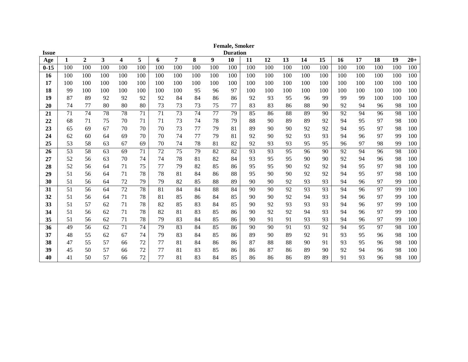| <b>Issue</b> |     |                |                         |                         |     |     |                |     |     | <b>Duration</b> |     |     |     |     |     |     |     |     |     |       |
|--------------|-----|----------------|-------------------------|-------------------------|-----|-----|----------------|-----|-----|-----------------|-----|-----|-----|-----|-----|-----|-----|-----|-----|-------|
| Age          | 1   | $\overline{2}$ | $\overline{\mathbf{3}}$ | $\overline{\mathbf{4}}$ | 5   | 6   | $\overline{7}$ | 8   | 9   | 10              | 11  | 12  | 13  | 14  | 15  | 16  | 17  | 18  | 19  | $20+$ |
| $0 - 15$     | 100 | 100            | 100                     | 100                     | 100 | 100 | 100            | 100 | 100 | 100             | 100 | 100 | 100 | 100 | 100 | 100 | 100 | 100 | 100 | 100   |
| 16           | 100 | 100            | 100                     | 100                     | 100 | 100 | 100            | 100 | 100 | 100             | 100 | 100 | 100 | 100 | 100 | 100 | 100 | 100 | 100 | 100   |
| 17           | 100 | 100            | 100                     | 100                     | 100 | 100 | 100            | 100 | 100 | 100             | 100 | 100 | 100 | 100 | 100 | 100 | 100 | 100 | 100 | 100   |
| 18           | -99 | 100            | 100                     | 100                     | 100 | 100 | 100            | 95  | 96  | 97              | 100 | 100 | 100 | 100 | 100 | 100 | 100 | 100 | 100 | 100   |
| 19           | 87  | 89             | 92                      | 92                      | 92  | 92  | 84             | 84  | 86  | 86              | 92  | 93  | 95  | 96  | 99  | 99  | 99  | 100 | 100 | 100   |
| 20           | 74  | 77             | 80                      | 80                      | 80  | 73  | 73             | 73  | 75  | 77              | 83  | 83  | 86  | 88  | 90  | 92  | 94  | 96  | 98  | 100   |
| 21           | 71  | 74             | 78                      | 78                      | 71  | 71  | 73             | 74  | 77  | 79              | 85  | 86  | 88  | 89  | 90  | 92  | 94  | 96  | 98  | 100   |
| 22           | 68  | 71             | 75                      | 70                      | 71  | 71  | 73             | 74  | 78  | 79              | 88  | 90  | 89  | 89  | 92  | 94  | 95  | 97  | 98  | 100   |
| 23           | 65  | 69             | 67                      | 70                      | 70  | 70  | 73             | 77  | 79  | 81              | 89  | 90  | 90  | 92  | 92  | 94  | 95  | 97  | 98  | 100   |
| 24           | 62  | 60             | 64                      | 69                      | 70  | 70  | 74             | 77  | 79  | 81              | 92  | 90  | 92  | 93  | 93  | 94  | 96  | 97  | 99  | 100   |
| 25           | 53  | 58             | 63                      | 67                      | 69  | 70  | 74             | 78  | 81  | 82              | 92  | 93  | 93  | 95  | 95  | 96  | 97  | 98  | 99  | 100   |
| 26           | 53  | 58             | 63                      | 69                      | 71  | 72  | 75             | 79  | 82  | 82              | 93  | 93  | 95  | 96  | 90  | 92  | 94  | 96  | 98  | 100   |
| 27           | 52  | 56             | 63                      | 70                      | 74  | 74  | 78             | 81  | 82  | 84              | 93  | 95  | 95  | 90  | 90  | 92  | 94  | 96  | 98  | 100   |
| 28           | 52  | 56             | 64                      | 71                      | 75  | 77  | 79             | 82  | 85  | 86              | 95  | 95  | 90  | 92  | 92  | 94  | 95  | 97  | 98  | 100   |
| 29           | 51  | 56             | 64                      | 71                      | 78  | 78  | 81             | 84  | 86  | 88              | 95  | 90  | 90  | 92  | 92  | 94  | 95  | 97  | 98  | 100   |
| 30           | 51  | 56             | 64                      | 72                      | 79  | 79  | 82             | 85  | 88  | 89              | 90  | 90  | 92  | 93  | 93  | 94  | 96  | 97  | 99  | 100   |
| 31           | 51  | 56             | 64                      | 72                      | 78  | 81  | 84             | 84  | 88  | 84              | 90  | 90  | 92  | 93  | 93  | 94  | 96  | 97  | 99  | 100   |
| 32           | 51  | 56             | 64                      | 71                      | 78  | 81  | 85             | 86  | 84  | 85              | 90  | 90  | 92  | 94  | 93  | 94  | 96  | 97  | 99  | 100   |
| 33           | 51  | 57             | 62                      | 71                      | 78  | 82  | 85             | 83  | 84  | 85              | 90  | 92  | 93  | 93  | 93  | 94  | 96  | 97  | 99  | 100   |
| 34           | 51  | 56             | 62                      | 71                      | 78  | 82  | 81             | 83  | 85  | 86              | 90  | 92  | 92  | 94  | 93  | 94  | 96  | 97  | 99  | 100   |
| 35           | 51  | 56             | 62                      | 71                      | 78  | 79  | 83             | 84  | 85  | 86              | 90  | 91  | 91  | 93  | 93  | 94  | 96  | 97  | 99  | 100   |
| 36           | 49  | 56             | 62                      | 71                      | 74  | 79  | 83             | 84  | 85  | 86              | 90  | 90  | 91  | 93  | 92  | 94  | 95  | 97  | 98  | 100   |
| 37           | 48  | 55             | 62                      | 67                      | 74  | 79  | 83             | 84  | 85  | 86              | 89  | 90  | 89  | 92  | 91  | 93  | 95  | 96  | 98  | 100   |
| 38           | 47  | 55             | 57                      | 66                      | 72  | 77  | 81             | 84  | 86  | 86              | 87  | 88  | 88  | 90  | 91  | 93  | 95  | 96  | 98  | 100   |
| 39           | 45  | 50             | 57                      | 66                      | 72  | 77  | 81             | 83  | 85  | 86              | 86  | 87  | 86  | 89  | 90  | 92  | 94  | 96  | 98  | 100   |
| 40           | 41  | 50             | 57                      | 66                      | 72  | 77  | 81             | 83  | 84  | 85              | 86  | 86  | 86  | 89  | 89  | 91  | 93  | 96  | 98  | 100   |

**Female, Smoker**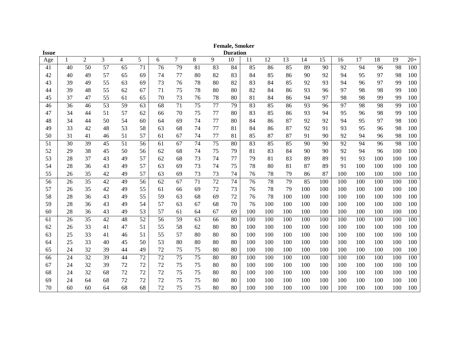|              |    |                |    |    |    |    |                |    |    | <b>Female, Smoker</b> |     |     |     |     |     |     |     |     |     |       |
|--------------|----|----------------|----|----|----|----|----------------|----|----|-----------------------|-----|-----|-----|-----|-----|-----|-----|-----|-----|-------|
| <b>Issue</b> |    |                |    |    |    |    |                |    |    | <b>Duration</b>       |     |     |     |     |     |     |     |     |     |       |
| Age          | 1  | $\overline{c}$ | 3  | 4  | 5  | 6  | $\overline{7}$ | 8  | 9  | 10                    | 11  | 12  | 13  | 14  | 15  | 16  | 17  | 18  | 19  | $20+$ |
| 41           | 40 | 50             | 57 | 65 | 71 | 76 | 79             | 81 | 83 | 84                    | 85  | 86  | 85  | 89  | 90  | 92  | 94  | 96  | 98  | 100   |
| 42           | 40 | 49             | 57 | 65 | 69 | 74 | 77             | 80 | 82 | 83                    | 84  | 85  | 86  | 90  | 92  | 94  | 95  | 97  | 98  | 100   |
| 43           | 39 | 49             | 55 | 63 | 69 | 73 | 76             | 78 | 80 | 82                    | 83  | 84  | 85  | 92  | 93  | 94  | 96  | 97  | 99  | 100   |
| 44           | 39 | 48             | 55 | 62 | 67 | 71 | 75             | 78 | 80 | 80                    | 82  | 84  | 86  | 93  | 96  | 97  | 98  | 98  | 99  | 100   |
| 45           | 37 | 47             | 55 | 61 | 65 | 70 | 73             | 76 | 78 | 80                    | 81  | 84  | 86  | 94  | 97  | 98  | 98  | 99  | 99  | 100   |
| 46           | 36 | 46             | 53 | 59 | 63 | 68 | 71             | 75 | 77 | 79                    | 83  | 85  | 86  | 93  | 96  | 97  | 98  | 98  | 99  | 100   |
| 47           | 34 | 44             | 51 | 57 | 62 | 66 | 70             | 75 | 77 | 80                    | 83  | 85  | 86  | 93  | 94  | 95  | 96  | 98  | 99  | 100   |
| 48           | 34 | 44             | 50 | 54 | 60 | 64 | 69             | 74 | 77 | 80                    | 84  | 86  | 87  | 92  | 92  | 94  | 95  | 97  | 98  | 100   |
| 49           | 33 | 42             | 48 | 53 | 58 | 63 | 68             | 74 | 77 | 81                    | 84  | 86  | 87  | 92  | 91  | 93  | 95  | 96  | 98  | 100   |
| 50           | 31 | 41             | 46 | 51 | 57 | 61 | 67             | 74 | 77 | 81                    | 85  | 87  | 87  | 91  | 90  | 92  | 94  | 96  | 98  | 100   |
| 51           | 30 | 39             | 45 | 51 | 56 | 61 | 67             | 74 | 75 | 80                    | 83  | 85  | 85  | 90  | 90  | 92  | 94  | 96  | 98  | 100   |
| 52           | 29 | 38             | 45 | 50 | 56 | 62 | 68             | 74 | 75 | 79                    | 81  | 83  | 84  | 90  | 90  | 92  | 94  | 96  | 100 | 100   |
| 53           | 28 | 37             | 43 | 49 | 57 | 62 | 68             | 73 | 74 | 77                    | 79  | 81  | 83  | 89  | 89  | 91  | 93  | 100 | 100 | 100   |
| 54           | 28 | 36             | 43 | 49 | 57 | 63 | 69             | 73 | 74 | 75                    | 78  | 80  | 81  | 87  | 89  | 91  | 100 | 100 | 100 | 100   |
| 55           | 26 | 35             | 42 | 49 | 57 | 63 | 69             | 73 | 73 | 74                    | 76  | 78  | 79  | 86  | 87  | 100 | 100 | 100 | 100 | 100   |
| 56           | 26 | 35             | 42 | 49 | 56 | 62 | 67             | 71 | 72 | 74                    | 76  | 78  | 79  | 85  | 100 | 100 | 100 | 100 | 100 | 100   |
| 57           | 26 | 35             | 42 | 49 | 55 | 61 | 66             | 69 | 72 | 73                    | 76  | 78  | 79  | 100 | 100 | 100 | 100 | 100 | 100 | 100   |
| 58           | 28 | 36             | 43 | 49 | 55 | 59 | 63             | 68 | 69 | 72                    | 76  | 78  | 100 | 100 | 100 | 100 | 100 | 100 | 100 | 100   |
| 59           | 28 | 36             | 43 | 49 | 54 | 57 | 63             | 67 | 68 | 70                    | 76  | 100 | 100 | 100 | 100 | 100 | 100 | 100 | 100 | 100   |
| 60           | 28 | 36             | 43 | 49 | 53 | 57 | 61             | 64 | 67 | 69                    | 100 | 100 | 100 | 100 | 100 | 100 | 100 | 100 | 100 | 100   |
| 61           | 26 | 35             | 42 | 48 | 52 | 56 | 59             | 63 | 66 | 80                    | 100 | 100 | 100 | 100 | 100 | 100 | 100 | 100 | 100 | 100   |
| 62           | 26 | 33             | 41 | 47 | 51 | 55 | 58             | 62 | 80 | 80                    | 100 | 100 | 100 | 100 | 100 | 100 | 100 | 100 | 100 | 100   |
| 63           | 25 | 33             | 41 | 46 | 51 | 55 | 57             | 80 | 80 | 80                    | 100 | 100 | 100 | 100 | 100 | 100 | 100 | 100 | 100 | 100   |
| 64           | 25 | 33             | 40 | 45 | 50 | 53 | 80             | 80 | 80 | 80                    | 100 | 100 | 100 | 100 | 100 | 100 | 100 | 100 | 100 | 100   |
| 65           | 24 | 32             | 39 | 44 | 49 | 72 | 75             | 75 | 80 | 80                    | 100 | 100 | 100 | 100 | 100 | 100 | 100 | 100 | 100 | 100   |
| 66           | 24 | 32             | 39 | 44 | 72 | 72 | 75             | 75 | 80 | 80                    | 100 | 100 | 100 | 100 | 100 | 100 | 100 | 100 | 100 | 100   |
| 67           | 24 | 32             | 39 | 72 | 72 | 72 | 75             | 75 | 80 | 80                    | 100 | 100 | 100 | 100 | 100 | 100 | 100 | 100 | 100 | 100   |
| 68           | 24 | 32             | 68 | 72 | 72 | 72 | 75             | 75 | 80 | 80                    | 100 | 100 | 100 | 100 | 100 | 100 | 100 | 100 | 100 | 100   |
| 69           | 24 | 64             | 68 | 72 | 72 | 72 | 75             | 75 | 80 | 80                    | 100 | 100 | 100 | 100 | 100 | 100 | 100 | 100 | 100 | 100   |
| 70           | 60 | 60             | 64 | 68 | 68 | 72 | 75             | 75 | 80 | 80                    | 100 | 100 | 100 | 100 | 100 | 100 | 100 | 100 | 100 | 100   |